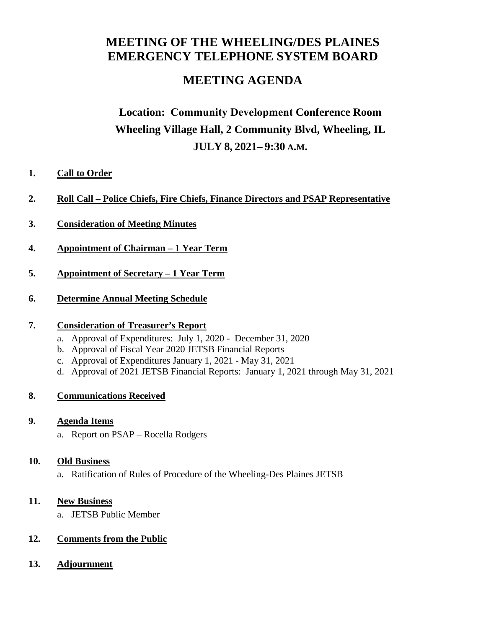# **MEETING OF THE WHEELING/DES PLAINES EMERGENCY TELEPHONE SYSTEM BOARD**

# **MEETING AGENDA**

# **Location: Community Development Conference Room Wheeling Village Hall, 2 Community Blvd, Wheeling, IL JULY 8, 2021– 9:30 A.M.**

### **1. Call to Order**

- **2. Roll Call Police Chiefs, Fire Chiefs, Finance Directors and PSAP Representative**
- **3. Consideration of Meeting Minutes**
- **4. Appointment of Chairman 1 Year Term**
- **5. Appointment of Secretary 1 Year Term**
- **6. Determine Annual Meeting Schedule**

### **7. Consideration of Treasurer's Report**

- a. Approval of Expenditures: July 1, 2020 December 31, 2020
- b. Approval of Fiscal Year 2020 JETSB Financial Reports
- c. Approval of Expenditures January 1, 2021 May 31, 2021
- d. Approval of 2021 JETSB Financial Reports: January 1, 2021 through May 31, 2021

### **8. Communications Received**

### **9. Agenda Items**

a. Report on PSAP – Rocella Rodgers

### **10. Old Business**

a. Ratification of Rules of Procedure of the Wheeling-Des Plaines JETSB

### **11. New Business**

a. JETSB Public Member

## **12. Comments from the Public**

**13. Adjournment**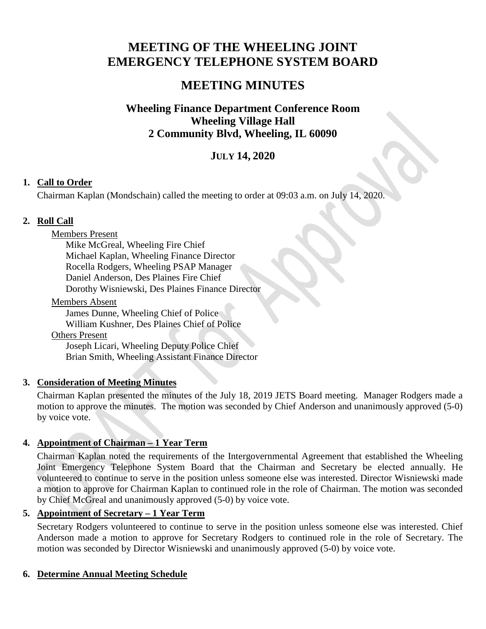# **MEETING OF THE WHEELING JOINT EMERGENCY TELEPHONE SYSTEM BOARD**

# **MEETING MINUTES**

# **Wheeling Finance Department Conference Room Wheeling Village Hall 2 Community Blvd, Wheeling, IL 60090**

# **JULY 14, 2020**

# **1. Call to Order**

Chairman Kaplan (Mondschain) called the meeting to order at 09:03 a.m. on July 14, 2020.

# **2. Roll Call**

## Members Present

Mike McGreal, Wheeling Fire Chief Michael Kaplan, Wheeling Finance Director Rocella Rodgers, Wheeling PSAP Manager Daniel Anderson, Des Plaines Fire Chief Dorothy Wisniewski, Des Plaines Finance Director

### Members Absent

James Dunne, Wheeling Chief of Police William Kushner, Des Plaines Chief of Police

### Others Present

Joseph Licari, Wheeling Deputy Police Chief Brian Smith, Wheeling Assistant Finance Director

# **3. Consideration of Meeting Minutes**

Chairman Kaplan presented the minutes of the July 18, 2019 JETS Board meeting. Manager Rodgers made a motion to approve the minutes. The motion was seconded by Chief Anderson and unanimously approved (5-0) by voice vote.

# **4. Appointment of Chairman – 1 Year Term**

Chairman Kaplan noted the requirements of the Intergovernmental Agreement that established the Wheeling Joint Emergency Telephone System Board that the Chairman and Secretary be elected annually. He volunteered to continue to serve in the position unless someone else was interested. Director Wisniewski made a motion to approve for Chairman Kaplan to continued role in the role of Chairman. The motion was seconded by Chief McGreal and unanimously approved (5-0) by voice vote.

# **5. Appointment of Secretary – 1 Year Term**

Secretary Rodgers volunteered to continue to serve in the position unless someone else was interested. Chief Anderson made a motion to approve for Secretary Rodgers to continued role in the role of Secretary. The motion was seconded by Director Wisniewski and unanimously approved (5-0) by voice vote.

# **6. Determine Annual Meeting Schedule**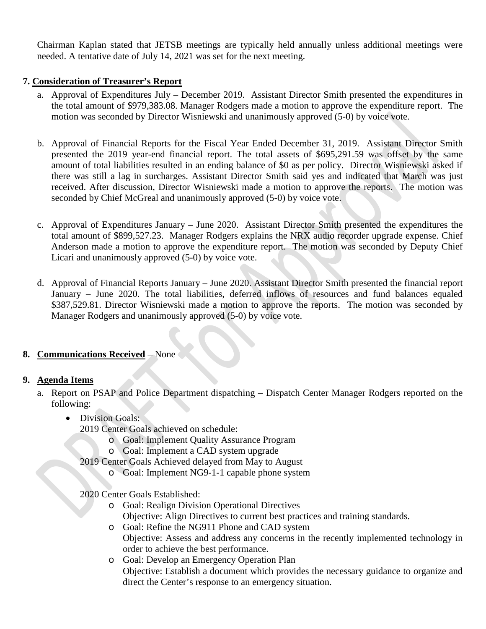Chairman Kaplan stated that JETSB meetings are typically held annually unless additional meetings were needed. A tentative date of July 14, 2021 was set for the next meeting.

## **7. Consideration of Treasurer's Report**

- a. Approval of Expenditures July December 2019. Assistant Director Smith presented the expenditures in the total amount of \$979,383.08. Manager Rodgers made a motion to approve the expenditure report. The motion was seconded by Director Wisniewski and unanimously approved (5-0) by voice vote.
- b. Approval of Financial Reports for the Fiscal Year Ended December 31, 2019. Assistant Director Smith presented the 2019 year-end financial report. The total assets of \$695,291.59 was offset by the same amount of total liabilities resulted in an ending balance of \$0 as per policy. Director Wisniewski asked if there was still a lag in surcharges. Assistant Director Smith said yes and indicated that March was just received. After discussion, Director Wisniewski made a motion to approve the reports. The motion was seconded by Chief McGreal and unanimously approved (5-0) by voice vote.
- c. Approval of Expenditures January June 2020. Assistant Director Smith presented the expenditures the total amount of \$899,527.23. Manager Rodgers explains the NRX audio recorder upgrade expense. Chief Anderson made a motion to approve the expenditure report. The motion was seconded by Deputy Chief Licari and unanimously approved (5-0) by voice vote.
- d. Approval of Financial Reports January June 2020. Assistant Director Smith presented the financial report January – June 2020. The total liabilities, deferred inflows of resources and fund balances equaled \$387,529.81. Director Wisniewski made a motion to approve the reports. The motion was seconded by Manager Rodgers and unanimously approved (5-0) by voice vote.

# **8. Communications Received** – None

### **9. Agenda Items**

- a. Report on PSAP and Police Department dispatching Dispatch Center Manager Rodgers reported on the following:
	- Division Goals:
		- 2019 Center Goals achieved on schedule:
			- o Goal: Implement Quality Assurance Program
			- o Goal: Implement a CAD system upgrade
		- 2019 Center Goals Achieved delayed from May to August
			- o Goal: Implement NG9-1-1 capable phone system
		- 2020 Center Goals Established:
			- o Goal: Realign Division Operational Directives Objective: Align Directives to current best practices and training standards.
			- o Goal: Refine the NG911 Phone and CAD system Objective: Assess and address any concerns in the recently implemented technology in order to achieve the best performance.
			- o Goal: Develop an Emergency Operation Plan Objective: Establish a document which provides the necessary guidance to organize and direct the Center's response to an emergency situation.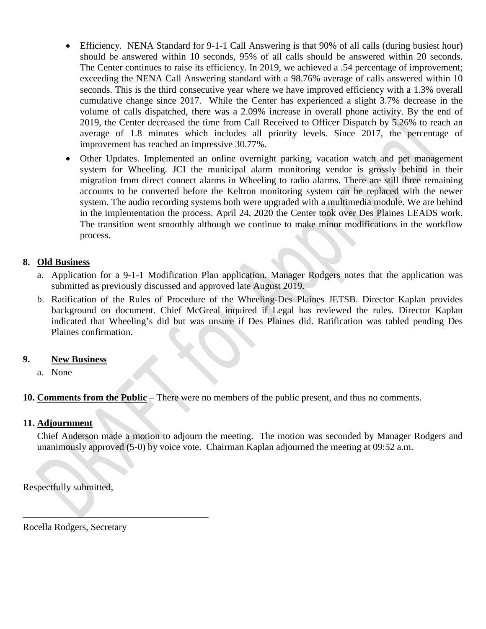- Efficiency. NENA Standard for 9-1-1 Call Answering is that 90% of all calls (during busiest hour) should be answered within 10 seconds, 95% of all calls should be answered within 20 seconds. The Center continues to raise its efficiency. In 2019, we achieved a .54 percentage of improvement; exceeding the NENA Call Answering standard with a 98.76% average of calls answered within 10 seconds. This is the third consecutive year where we have improved efficiency with a 1.3% overall cumulative change since 2017. While the Center has experienced a slight 3.7% decrease in the volume of calls dispatched, there was a 2.09% increase in overall phone activity. By the end of 2019, the Center decreased the time from Call Received to Officer Dispatch by 5.26% to reach an average of 1.8 minutes which includes all priority levels. Since 2017, the percentage of improvement has reached an impressive 30.77%.
- Other Updates. Implemented an online overnight parking, vacation watch and pet management system for Wheeling. JCI the municipal alarm monitoring vendor is grossly behind in their migration from direct connect alarms in Wheeling to radio alarms. There are still three remaining accounts to be converted before the Keltron monitoring system can be replaced with the newer system. The audio recording systems both were upgraded with a multimedia module. We are behind in the implementation the process. April 24, 2020 the Center took over Des Plaines LEADS work. The transition went smoothly although we continue to make minor modifications in the workflow process.

## **8. Old Business**

- a. Application for a 9-1-1 Modification Plan application. Manager Rodgers notes that the application was submitted as previously discussed and approved late August 2019.
- b. Ratification of the Rules of Procedure of the Wheeling-Des Plaines JETSB. Director Kaplan provides background on document. Chief McGreal inquired if Legal has reviewed the rules. Director Kaplan indicated that Wheeling's did but was unsure if Des Plaines did. Ratification was tabled pending Des Plaines confirmation.

### **9. New Business**

a. None

**10. Comments from the Public** – There were no members of the public present, and thus no comments.

### **11. Adjournment**

Chief Anderson made a motion to adjourn the meeting. The motion was seconded by Manager Rodgers and unanimously approved (5-0) by voice vote. Chairman Kaplan adjourned the meeting at 09:52 a.m.

Respectfully submitted,

Rocella Rodgers, Secretary

 $\overline{\phantom{a}}$  , where  $\overline{\phantom{a}}$  , where  $\overline{\phantom{a}}$  ,  $\overline{\phantom{a}}$  ,  $\overline{\phantom{a}}$  ,  $\overline{\phantom{a}}$  ,  $\overline{\phantom{a}}$  ,  $\overline{\phantom{a}}$  ,  $\overline{\phantom{a}}$  ,  $\overline{\phantom{a}}$  ,  $\overline{\phantom{a}}$  ,  $\overline{\phantom{a}}$  ,  $\overline{\phantom{a}}$  ,  $\overline{\phantom{a}}$  ,  $\overline{\phantom{a}}$  ,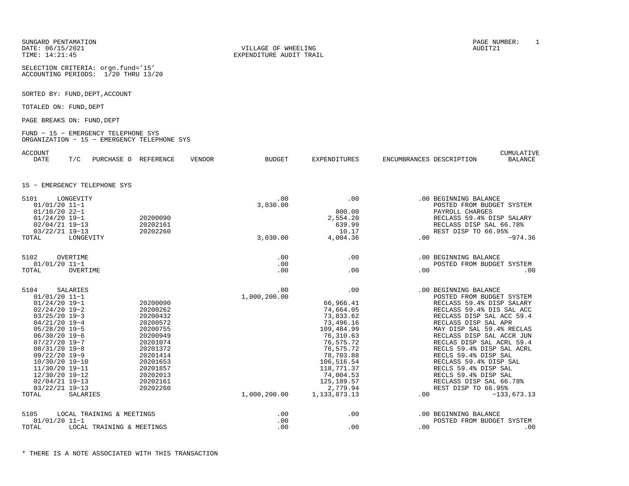SUNGARD PENTAMATIONDATE: 06/15/2021TIME: 14:21:45

SELECTION CRITERIA: orgn.fund='15'ACCOUNTING PERIODS: 1/20 THRU 13/20

SORTED BY: FUND, DEPT, ACCOUNT

TOTALED ON: FUND, DEPT

PAGE BREAKS ON: FUND, DEPT

#### FUND − 15 − EMERGENCY TELEPHONE SYS ORGANIZATION − 15 − EMERGENCY TELEPHONE SYS

ACCOUNT

| ACCOUNT     |     |            |           |        |               |              |                          | CUMULATIVE |
|-------------|-----|------------|-----------|--------|---------------|--------------|--------------------------|------------|
| <b>DATE</b> | T/C | PURCHASE O | REFERENCE | VENDOR | <b>BUDGET</b> | EXPENDITURES | ENCUMBRANCES DESCRIPTION | BALANCE    |
|             |     |            |           |        |               |              |                          |            |
|             |     |            |           |        |               |              |                          |            |

EXPENDITURE AUDIT TRAIL

#### 15 − EMERGENCY TELEPHONE SYS

| 5101<br>$01/01/20$ 11-1<br>$01/10/20$ 22-1<br>$01/24/20$ 19-1<br>$02/04/21$ 19-13<br>$03/22/21$ 19-13<br>TOTAL                                                                                                                                                                                          | LONGEVITY<br>LONGEVITY                                 | 20200090<br>20202161<br>20202260                                                                                                                                     | .00<br>3,030.00<br>3,030.00         | .00<br>800.00<br>2,554.20<br>639.99<br>10.17<br>4,004.36                                                                                                                                                         | .00 | .00 BEGINNING BALANCE<br>POSTED FROM BUDGET SYSTEM<br>PAYROLL CHARGES<br>RECLASS 59.4% DISP SALARY<br>RECLASS DISP SAL 66.78%<br>REST DISP TO 66.95%<br>$-974.36$                                                                                                                                                                                                                                                                                          |
|---------------------------------------------------------------------------------------------------------------------------------------------------------------------------------------------------------------------------------------------------------------------------------------------------------|--------------------------------------------------------|----------------------------------------------------------------------------------------------------------------------------------------------------------------------|-------------------------------------|------------------------------------------------------------------------------------------------------------------------------------------------------------------------------------------------------------------|-----|------------------------------------------------------------------------------------------------------------------------------------------------------------------------------------------------------------------------------------------------------------------------------------------------------------------------------------------------------------------------------------------------------------------------------------------------------------|
| 5102<br>$01/01/20$ 11-1<br>TOTAL                                                                                                                                                                                                                                                                        | OVERTIME<br>OVERTIME                                   |                                                                                                                                                                      | .00<br>.00<br>.00                   | .00<br>.00                                                                                                                                                                                                       | .00 | .00 BEGINNING BALANCE<br>POSTED FROM BUDGET SYSTEM<br>.00                                                                                                                                                                                                                                                                                                                                                                                                  |
| 5104<br>$01/01/20$ 11-1<br>$01/24/20$ 19-1<br>$02/24/20$ 19-2<br>$03/25/20$ 19-3<br>$04/21/20$ 19-4<br>$05/28/20$ 19-5<br>$06/30/20$ 19-6<br>$07/27/20$ 19-7<br>$08/31/20$ 19-8<br>09/22/20 19-9<br>10/30/20 19-10<br>11/30/20 19-11<br>12/30/20 19-12<br>$02/04/21$ 19-13<br>$03/22/21$ 19-13<br>TOTAL | <b>SALARIES</b><br><b>SALARIES</b>                     | 20200090<br>20200262<br>20200432<br>20200572<br>20200755<br>20200949<br>20201074<br>20201372<br>20201414<br>20201653<br>20201857<br>20202013<br>20202161<br>20202260 | .00<br>1,000,200.00<br>1,000,200.00 | .00<br>66,966.41<br>74,664.05<br>73,833.62<br>73,496.16<br>109,484.99<br>76,310.63<br>76,575.72<br>76,575.72<br>78,703.88<br>106,516.54<br>118,771.37<br>74,004.53<br>125, 189.57<br>2,779.94<br>1, 133, 873. 13 | .00 | .00 BEGINNING BALANCE<br>POSTED FROM BUDGET SYSTEM<br>RECLASS 59.4% DISP SALARY<br>RECLASS 59.4% DIS SAL ACC<br>RECLASS DISP SAL ACC 59.4<br>RECLASS DISP SAL APR<br>MAY DISP SAL 59.4% RECLAS<br>RECLASS DISP SAL ACCR JUN<br>RECLAS DISP SAL ACRL 59.4<br>RECLS 59.4% DISP SAL ACRL<br>RECLS 59.4% DISP SAL<br>RECLASS 59.4% DISP SAL<br>RECLS 59.4% DISP SAL<br>RECLS 59.4% DISP SAL<br>RECLASS DISP SAL 66.78%<br>REST DISP TO 66.95%<br>$-133,673.13$ |
| 5105<br>$01/01/20$ 11-1<br>TOTAL                                                                                                                                                                                                                                                                        | LOCAL TRAINING & MEETINGS<br>LOCAL TRAINING & MEETINGS |                                                                                                                                                                      | .00<br>.00<br>.00                   | .00<br>.00                                                                                                                                                                                                       | .00 | .00 BEGINNING BALANCE<br>POSTED FROM BUDGET SYSTEM<br>.00                                                                                                                                                                                                                                                                                                                                                                                                  |

N PAGE NUMBER: 1<br>PAGE NUMBER: 1 VILLAGE OF WHEELING AUDIT21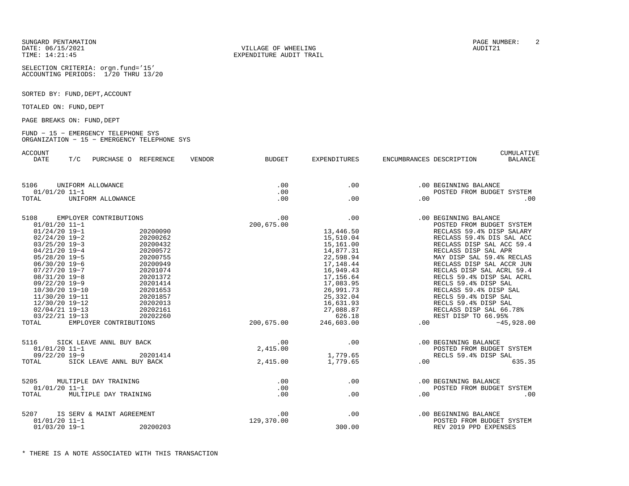DATE: 06/15/2021 VILLAGE OF WHEELING AUDIT21

SELECTION CRITERIA: orgn.fund='15'ACCOUNTING PERIODS: 1/20 THRU 13/20

SORTED BY: FUND, DEPT, ACCOUNT

TOTALED ON: FUND, DEPT

PAGE BREAKS ON: FUND, DEPT

#### FUND − 15 − EMERGENCY TELEPHONE SYS ORGANIZATION − 15 − EMERGENCY TELEPHONE SYS

ACCOUNT CUMULATIVE

| <b>DATE</b>                                                                                                                                                                                                                                                                                             | T/C | PURCHASE O REFERENCE                                                                                   |                                                                                                                                                                      | VENDOR | <b>BUDGET</b>                                    | <b>EXPENDITURES</b>                                                                                                                                                                                    | ENCUMBRANCES DESCRIPTION | <b>BALANCE</b>                                                                                                                                                                                                                                                                                                                                                                                                                                            |
|---------------------------------------------------------------------------------------------------------------------------------------------------------------------------------------------------------------------------------------------------------------------------------------------------------|-----|--------------------------------------------------------------------------------------------------------|----------------------------------------------------------------------------------------------------------------------------------------------------------------------|--------|--------------------------------------------------|--------------------------------------------------------------------------------------------------------------------------------------------------------------------------------------------------------|--------------------------|-----------------------------------------------------------------------------------------------------------------------------------------------------------------------------------------------------------------------------------------------------------------------------------------------------------------------------------------------------------------------------------------------------------------------------------------------------------|
| 5106<br>$01/01/20$ 11-1<br>TOTAL                                                                                                                                                                                                                                                                        |     | UNIFORM ALLOWANCE<br>UNIFORM ALLOWANCE                                                                 |                                                                                                                                                                      |        | .00<br>.00<br>.00                                | .00<br>.00                                                                                                                                                                                             | .00                      | .00 BEGINNING BALANCE<br>POSTED FROM BUDGET SYSTEM<br>.00.                                                                                                                                                                                                                                                                                                                                                                                                |
| 5108<br>$01/01/20$ 11-1<br>$01/24/20$ 19-1<br>$02/24/20$ 19-2<br>$03/25/20$ 19-3<br>$04/21/20$ 19-4<br>$05/28/20$ 19-5<br>$06/30/20$ 19-6<br>$07/27/20$ 19-7<br>$08/31/20$ 19-8<br>$09/22/20$ 19-9<br>10/30/20 19-10<br>11/30/20 19-11<br>12/30/20 19-12<br>$02/04/21$ 19-13<br>03/22/21 19-13<br>TOTAL |     | EMPLOYER CONTRIBUTIONS<br>EMPLOYER CONTRIBUTIONS                                                       | 20200090<br>20200262<br>20200432<br>20200572<br>20200755<br>20200949<br>20201074<br>20201372<br>20201414<br>20201653<br>20201857<br>20202013<br>20202161<br>20202260 |        | .00<br>200,675.00<br>200,675.00                  | .00<br>13,446.50<br>15,510.04<br>15,161.00<br>14,877.31<br>22,598.94<br>17, 148.44<br>16,949.43<br>17,156.64<br>17,083.95<br>26,991.73<br>25, 332.04<br>16,631.93<br>27,088.87<br>626.18<br>246,603.00 | .00                      | .00 BEGINNING BALANCE<br>POSTED FROM BUDGET SYSTEM<br>RECLASS 59.4% DISP SALARY<br>RECLASS 59.4% DIS SAL ACC<br>RECLASS DISP SAL ACC 59.4<br>RECLASS DISP SAL APR<br>MAY DISP SAL 59.4% RECLAS<br>RECLASS DISP SAL ACCR JUN<br>RECLAS DISP SAL ACRL 59.4<br>RECLS 59.4% DISP SAL ACRL<br>RECLS 59.4% DISP SAL<br>RECLASS 59.4% DISP SAL<br>RECLS 59.4% DISP SAL<br>RECLS 59.4% DISP SAL<br>RECLASS DISP SAL 66.78%<br>REST DISP TO 66.95%<br>$-45,928.00$ |
| 5116<br>$01/01/20$ 11-1<br>$09/22/20$ 19-9<br>TOTAL<br>5205<br>$01/01/20$ 11-1<br>TOTAL                                                                                                                                                                                                                 |     | SICK LEAVE ANNL BUY BACK<br>SICK LEAVE ANNL BUY BACK<br>MULTIPLE DAY TRAINING<br>MULTIPLE DAY TRAINING | 20201414                                                                                                                                                             |        | .00<br>2,415.00<br>2,415.00<br>.00<br>.00<br>.00 | .00<br>1,779.65<br>1,779.65<br>.00<br>.00                                                                                                                                                              | .00<br>.00               | .00 BEGINNING BALANCE<br>POSTED FROM BUDGET SYSTEM<br>RECLS 59.4% DISP SAL<br>635.35<br>.00 BEGINNING BALANCE<br>POSTED FROM BUDGET SYSTEM<br>.00                                                                                                                                                                                                                                                                                                         |
| 5207<br>$01/01/20$ 11-1<br>$01/03/20$ 19-1                                                                                                                                                                                                                                                              |     | IS SERV & MAINT AGREEMENT                                                                              | 20200203                                                                                                                                                             |        | .00<br>129,370.00                                | .00<br>300.00                                                                                                                                                                                          |                          | .00 BEGINNING BALANCE<br>POSTED FROM BUDGET SYSTEM<br>REV 2019 PPD EXPENSES                                                                                                                                                                                                                                                                                                                                                                               |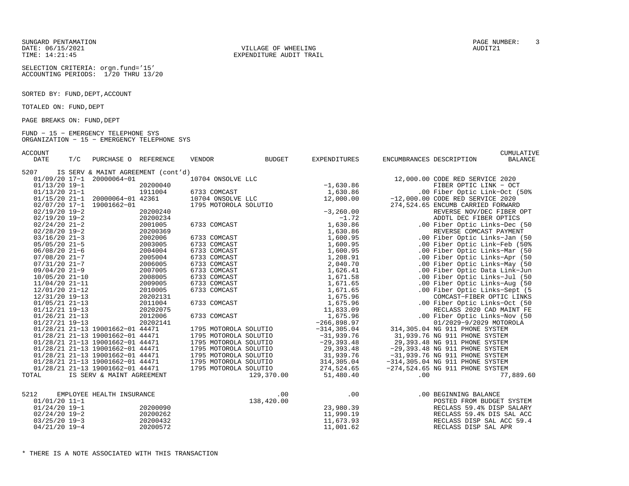DATE: 06/15/2021 VILLAGE OF WHEELING AUDIT21

SELECTION CRITERIA: orgn.fund='15'ACCOUNTING PERIODS: 1/20 THRU 13/20

SORTED BY: FUND, DEPT, ACCOUNT

TOTALED ON: FUND, DEPT

PAGE BREAKS ON: FUND, DEPT

#### FUND − 15 − EMERGENCY TELEPHONE SYS ORGANIZATION − 15 − EMERGENCY TELEPHONE SYS

ACCOUNT CUMULATIVE

| IS SERV & MAINT AGREEMENT (cont'd)<br>5207<br>01/09/20 17-1 20000064-01<br>10704 ONSOLVE LLC<br>12,000.00 CODE RED SERVICE 2020<br>$-1,630.86$<br>$01/13/20$ 19-1<br>20200040<br>FIBER OPTIC LINK - OCT<br>$01/13/20$ 21-1<br>1911004<br>1,630.86<br>6733 COMCAST<br>.00 Fiber Optic Link-Oct (50%<br>01/15/20 21-1 20000064-01 42361<br>12,000.00<br>10704 ONSOLVE LLC<br>$-12,000.00$ CODE RED SERVICE 2020 |           |
|---------------------------------------------------------------------------------------------------------------------------------------------------------------------------------------------------------------------------------------------------------------------------------------------------------------------------------------------------------------------------------------------------------------|-----------|
|                                                                                                                                                                                                                                                                                                                                                                                                               |           |
|                                                                                                                                                                                                                                                                                                                                                                                                               |           |
|                                                                                                                                                                                                                                                                                                                                                                                                               |           |
|                                                                                                                                                                                                                                                                                                                                                                                                               |           |
|                                                                                                                                                                                                                                                                                                                                                                                                               |           |
| 02/07/20 17-1 19001662-01<br>1795 MOTOROLA SOLUTIO<br>274,524.65 ENCUMB CARRIED FORWARD                                                                                                                                                                                                                                                                                                                       |           |
| $-3, 260.00$<br>$02/19/20$ 19-2<br>20200240<br>REVERSE NOV/DEC FIBER OPT                                                                                                                                                                                                                                                                                                                                      |           |
| $-1.72$<br>$02/19/20$ 19-2<br>20200234<br>ADDTL DEC FIBER OPTICS                                                                                                                                                                                                                                                                                                                                              |           |
| 1,630.86<br>$02/24/20$ 21-2<br>2001005<br>6733 COMCAST<br>.00 Fiber Optic Links-Dec (50                                                                                                                                                                                                                                                                                                                       |           |
| $02/28/20$ 19-2<br>20200369<br>1,630.86<br>REVERSE COMCAST PAYMENT                                                                                                                                                                                                                                                                                                                                            |           |
| 2002006<br>1,600.95<br>.00 Fiber Optic Links-Jan (50<br>$03/16/20$ 21-3<br>6733 COMCAST                                                                                                                                                                                                                                                                                                                       |           |
| 1,600.95<br>$05/05/20$ 21-5<br>2003005<br>6733 COMCAST<br>.00 Fiber Optic Link-Feb (50%                                                                                                                                                                                                                                                                                                                       |           |
| $06/08/20$ 21-6<br>2004004<br>6733 COMCAST<br>1,600.95<br>.00 Fiber Optic Links-Mar (50                                                                                                                                                                                                                                                                                                                       |           |
| 2005004<br>1,208.91<br>.00 Fiber Optic Links-Apr (50<br>$07/08/20$ 21-7<br>6733 COMCAST                                                                                                                                                                                                                                                                                                                       |           |
| 2006005<br>6733 COMCAST<br>2,040.70<br>.00 Fiber Optic Links-May (50<br>07/31/20 21-7                                                                                                                                                                                                                                                                                                                         |           |
| 09/04/20 21-9<br>2007005<br>6733 COMCAST<br>1,626.41<br>.00 Fiber Optic Data Link-Jun                                                                                                                                                                                                                                                                                                                         |           |
| 10/05/20 21-10<br>2008005<br>6733 COMCAST<br>1,671.58<br>.00 Fiber Optic Links-Jul (50                                                                                                                                                                                                                                                                                                                        |           |
| 6733 COMCAST<br>1,671.65<br>.00 Fiber Optic Links-Aug (50<br>$11/04/20$ 21-11<br>2009005                                                                                                                                                                                                                                                                                                                      |           |
| 2010005<br>6733 COMCAST<br>1,671.65<br>.00 Fiber Optic Links-Sept (5<br>12/01/20 21-12                                                                                                                                                                                                                                                                                                                        |           |
| 1,675.96<br>20202131<br>COMCAST-FIBER OPTIC LINKS<br>12/31/20 19-13                                                                                                                                                                                                                                                                                                                                           |           |
| 2011004<br>6733 COMCAST<br>1,675.96<br>.00 Fiber Optic Links-Oct (50<br>$01/05/21$ 21-13                                                                                                                                                                                                                                                                                                                      |           |
| 11,833.09<br>01/12/21 19-13<br>20202075<br>RECLASS 2020 CAD MAINT FE                                                                                                                                                                                                                                                                                                                                          |           |
| 1,675.96<br>$01/26/21$ 21-13<br>2012006<br>6733 COMCAST<br>.00 Fiber Optic Links-Nov (50                                                                                                                                                                                                                                                                                                                      |           |
| $-266, 898.97$<br>01/2029-9/2029 MOTOROLA<br>$01/27/21$ 19-13<br>20202141                                                                                                                                                                                                                                                                                                                                     |           |
| 01/28/21 21-13 19001662-01 44471<br>$-314, 305.04$<br>314,305.04 NG 911 PHONE SYSTEM<br>1795 MOTOROLA SOLUTIO                                                                                                                                                                                                                                                                                                 |           |
| 01/28/21 21-13 19001662-01 44471<br>1795 MOTOROLA SOLUTIO<br>$-31,939.76$<br>31,939.76 NG 911 PHONE SYSTEM                                                                                                                                                                                                                                                                                                    |           |
| $-29, 393.48$<br>01/28/21 21-13 19001662-01 44471<br>1795 MOTOROLA SOLUTIO<br>29,393.48 NG 911 PHONE SYSTEM                                                                                                                                                                                                                                                                                                   |           |
| 29,393.48<br>01/28/21 21-13 19001662-01 44471<br>1795 MOTOROLA SOLUTIO<br>$-29,393.48$ NG 911 PHONE SYSTEM                                                                                                                                                                                                                                                                                                    |           |
| 31,939.76<br>01/28/21 21-13 19001662-01 44471<br>1795 MOTOROLA SOLUTIO<br>$-31,939.76$ NG 911 PHONE SYSTEM                                                                                                                                                                                                                                                                                                    |           |
| 01/28/21 21-13 19001662-01 44471<br>314,305.04<br>1795 MOTOROLA SOLUTIO<br>$-314, 305.04$ NG 911 PHONE SYSTEM                                                                                                                                                                                                                                                                                                 |           |
| 01/28/21 21-13 19001662-01 44471<br>01/28/21 21-13 19001662-01 44471<br>1795 MOTOROLA SOLUTIO<br>274,524.65<br>$-274,524.65$ NG 911 PHONE SYSTEM                                                                                                                                                                                                                                                              |           |
| 129,370.00<br>51,480.40<br>TOTAL<br>IS SERV & MAINT AGREEMENT<br>.00                                                                                                                                                                                                                                                                                                                                          | 77,889.60 |
|                                                                                                                                                                                                                                                                                                                                                                                                               |           |
| 5212<br>.00<br>EMPLOYEE HEALTH INSURANCE<br>.00<br>.00 BEGINNING BALANCE                                                                                                                                                                                                                                                                                                                                      |           |
| $01/01/20$ 11-1<br>138,420.00<br>POSTED FROM BUDGET SYSTEM                                                                                                                                                                                                                                                                                                                                                    |           |
| 23,980.39<br>$01/24/20$ 19-1<br>20200090<br>RECLASS 59.4% DISP SALARY                                                                                                                                                                                                                                                                                                                                         |           |
| 20200262<br>11,990.19<br>RECLASS 59.4% DIS SAL ACC<br>$02/24/20$ 19-2                                                                                                                                                                                                                                                                                                                                         |           |
| $03/25/20$ 19-3<br>20200432<br>11,673.93<br>RECLASS DISP SAL ACC 59.4                                                                                                                                                                                                                                                                                                                                         |           |
| $04/21/20$ 19-4<br>20200572<br>11,001.62<br>RECLASS DISP SAL APR                                                                                                                                                                                                                                                                                                                                              |           |

SUNGARD PENTAMATION PAGE NUMBER: 3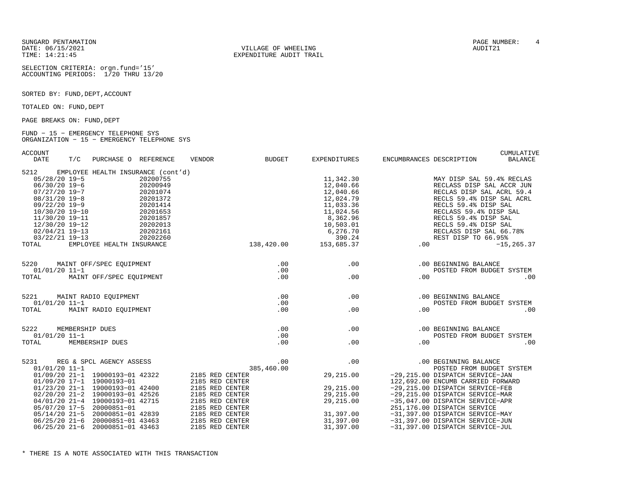SUNGARD PENTAMATION PAGE NUMBER: 4

SELECTION CRITERIA: orgn.fund='15'ACCOUNTING PERIODS: 1/20 THRU 13/20

SORTED BY: FUND, DEPT, ACCOUNT

TOTALED ON: FUND, DEPT

PAGE BREAKS ON: FUND, DEPT

#### FUND − 15 − EMERGENCY TELEPHONE SYS ORGANIZATION − 15 − EMERGENCY TELEPHONE SYS

ACCOUNT CUMULATIVE

| <b>DATE</b><br>T/C<br>PURCHASE O REFERENCE                                                                                                                                                                                                                                                                                                                                                      | <b>VENDOR</b><br><b>BUDGET</b>                                                                                                                                                               | <b>EXPENDITURES</b>                                                                                                                     | ENCUMBRANCES DESCRIPTION<br><b>BALANCE</b>                                                                                                                                                                                                                                                                                                                                   |
|-------------------------------------------------------------------------------------------------------------------------------------------------------------------------------------------------------------------------------------------------------------------------------------------------------------------------------------------------------------------------------------------------|----------------------------------------------------------------------------------------------------------------------------------------------------------------------------------------------|-----------------------------------------------------------------------------------------------------------------------------------------|------------------------------------------------------------------------------------------------------------------------------------------------------------------------------------------------------------------------------------------------------------------------------------------------------------------------------------------------------------------------------|
| EMPLOYEE HEALTH INSURANCE (cont'd)<br>5212<br>$05/28/20$ 19-5<br>20200755<br>$06/30/20$ 19-6<br>20200949<br>$07/27/20$ 19-7<br>20201074<br>08/31/20 19-8<br>20201372<br>09/22/20 19-9<br>20201414<br>20201653<br>10/30/20 19-10<br>11/30/20 19-11<br>20201857<br>12/30/20 19-12<br>20202013<br>$02/04/21$ 19-13<br>20202161<br>03/22/21 19-13<br>20202260<br>EMPLOYEE HEALTH INSURANCE<br>TOTAL | 138,420.00                                                                                                                                                                                   | 11,342.30<br>12,040.66<br>12,040.66<br>12,024.79<br>11,033.36<br>11,024.56<br>8,362.96<br>10,503.01<br>6,276.70<br>390.24<br>153,685.37 | MAY DISP SAL 59.4% RECLAS<br>RECLASS DISP SAL ACCR JUN<br>RECLAS DISP SAL ACRL 59.4<br>RECLS 59.4% DISP SAL ACRL<br>RECLS 59.4% DISP SAL<br>RECLASS 59.4% DISP SAL<br>RECLS 59.4% DISP SAL<br>RECLS 59.4% DISP SAL<br>RECLASS DISP SAL 66.78%<br>REST DISP TO 66.95%<br>.00<br>$-15, 265.37$                                                                                 |
|                                                                                                                                                                                                                                                                                                                                                                                                 |                                                                                                                                                                                              |                                                                                                                                         |                                                                                                                                                                                                                                                                                                                                                                              |
| 5220<br>MAINT OFF/SPEC EQUIPMENT<br>$01/01/20$ 11-1<br>MAINT OFF/SPEC EOUIPMENT<br>TOTAL                                                                                                                                                                                                                                                                                                        | .00<br>.00<br>.00                                                                                                                                                                            | .00<br>.00                                                                                                                              | .00 BEGINNING BALANCE<br>POSTED FROM BUDGET SYSTEM<br>.00<br>.00                                                                                                                                                                                                                                                                                                             |
|                                                                                                                                                                                                                                                                                                                                                                                                 |                                                                                                                                                                                              |                                                                                                                                         |                                                                                                                                                                                                                                                                                                                                                                              |
| MAINT RADIO EOUIPMENT<br>5221<br>01/01/20 11-1                                                                                                                                                                                                                                                                                                                                                  | .00<br>.00                                                                                                                                                                                   | .00                                                                                                                                     | .00 BEGINNING BALANCE<br>POSTED FROM BUDGET SYSTEM                                                                                                                                                                                                                                                                                                                           |
| MAINT RADIO EQUIPMENT<br>TOTAL                                                                                                                                                                                                                                                                                                                                                                  | .00                                                                                                                                                                                          | .00                                                                                                                                     | .00<br>.00                                                                                                                                                                                                                                                                                                                                                                   |
| 5222<br>MEMBERSHIP DUES<br>$01/01/20$ 11-1<br>TOTAL<br>MEMBERSHIP DUES                                                                                                                                                                                                                                                                                                                          | .00<br>.00<br>.00                                                                                                                                                                            | .00<br>.00                                                                                                                              | .00 BEGINNING BALANCE<br>POSTED FROM BUDGET SYSTEM<br>.00<br>.00                                                                                                                                                                                                                                                                                                             |
| REG & SPCL AGENCY ASSESS<br>5231<br>$01/01/20$ 11-1<br>01/09/20 21-1 19000193-01 42322<br>01/09/20 17-1 19000193-01<br>01/23/20 21-1 19000193-01 42400<br>02/20/20 21-2 19000193-01 42526<br>04/01/20 21-4 19000193-01 42715<br>05/07/20 17-5 20000851-01<br>05/14/20 21-5 20000851-01 42839<br>06/25/20 21-6 20000851-01 43463<br>06/25/20 21-6 20000851-01 43463                              | .00<br>385,460.00<br>2185 RED CENTER<br>2185 RED CENTER<br>2185 RED CENTER<br>2185 RED CENTER<br>2185 RED CENTER<br>2185 RED CENTER<br>2185 RED CENTER<br>2185 RED CENTER<br>2185 RED CENTER | .00<br>29,215.00<br>29,215.00<br>29,215.00<br>29,215.00<br>31,397.00<br>31,397.00<br>31,397.00                                          | .00 BEGINNING BALANCE<br>POSTED FROM BUDGET SYSTEM<br>-29,215.00 DISPATCH SERVICE-JAN<br>122,692.00 ENCUMB CARRIED FORWARD<br>-29,215.00 DISPATCH SERVICE-FEB<br>-29, 215.00 DISPATCH SERVICE-MAR<br>-35,047.00 DISPATCH SERVICE-APR<br>251,176.00 DISPATCH SERVICE<br>-31,397.00 DISPATCH SERVICE-MAY<br>-31,397.00 DISPATCH SERVICE-JUN<br>-31,397.00 DISPATCH SERVICE-JUL |

DATE: 06/15/2021 VILLAGE OF WHEELING AUDIT21TIME: 14:21:45 EXPENDITURE AUDIT TRAIL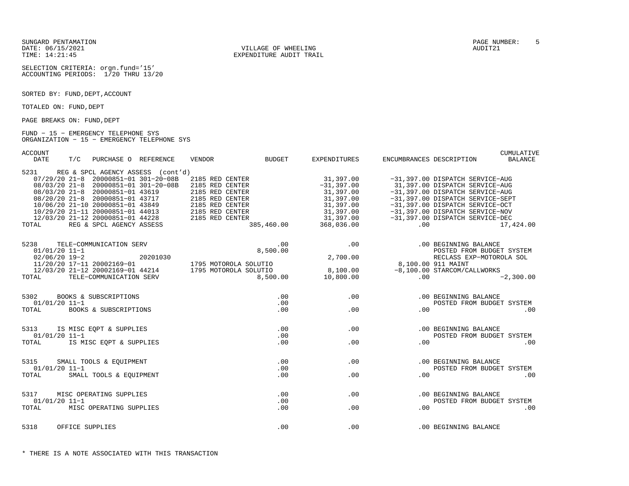SUNGARD PENTAMATION PAGE NUMBER: 5DATE: 06/15/2021 VILLAGE OF WHEELING AUDIT21

SELECTION CRITERIA: orgn.fund='15'ACCOUNTING PERIODS: 1/20 THRU 13/20

SORTED BY: FUND, DEPT, ACCOUNT

TOTALED ON: FUND, DEPT

PAGE BREAKS ON: FUND, DEPT

#### FUND − 15 − EMERGENCY TELEPHONE SYS ORGANIZATION − 15 − EMERGENCY TELEPHONE SYS

ACCOUNT CUMULATIVE

| DATE            | T/C             | PURCHASE O REFERENCE            |                                        | VENDOR                                                                                                                                                                                                                                                                                              | BUDGET   | EXPENDITURES          | ENCUMBRANCES DESCRIPTION                          |                                                                                                                                                                                                                                                                    | BALANCE   |
|-----------------|-----------------|---------------------------------|----------------------------------------|-----------------------------------------------------------------------------------------------------------------------------------------------------------------------------------------------------------------------------------------------------------------------------------------------------|----------|-----------------------|---------------------------------------------------|--------------------------------------------------------------------------------------------------------------------------------------------------------------------------------------------------------------------------------------------------------------------|-----------|
|                 |                 |                                 | 5231 REG & SPCL AGENCY ASSESS (cont'd) |                                                                                                                                                                                                                                                                                                     |          |                       |                                                   |                                                                                                                                                                                                                                                                    |           |
|                 |                 |                                 |                                        | 07/29/20 21-8 20000851-01 301-20-08B 2185 RED CENTER                                                                                                                                                                                                                                                |          | 31,397.00             |                                                   | -31,397.00 DISPATCH SERVICE-AUG                                                                                                                                                                                                                                    |           |
|                 |                 |                                 |                                        | 08/03/20 21-8 20000851-01 301-20-08B 2185 RED CENTER                                                                                                                                                                                                                                                |          |                       |                                                   | $-31,397.00$<br>$-31,397.00$<br>$-31,397.00$<br>$-31,397.00$ DISPATCH SERVICE-AUG<br>$-31,397.00$ DISPATCH SERVICE-AUG                                                                                                                                             |           |
|                 |                 | 08/03/20 21-8 20000851-01 43619 |                                        | 2185 RED CENTER                                                                                                                                                                                                                                                                                     |          |                       |                                                   |                                                                                                                                                                                                                                                                    |           |
|                 |                 |                                 |                                        |                                                                                                                                                                                                                                                                                                     |          |                       |                                                   | -31,397.00 DISPATCH SERVICE-SEPT                                                                                                                                                                                                                                   |           |
|                 |                 |                                 |                                        |                                                                                                                                                                                                                                                                                                     |          |                       |                                                   |                                                                                                                                                                                                                                                                    |           |
|                 |                 |                                 |                                        |                                                                                                                                                                                                                                                                                                     |          |                       |                                                   |                                                                                                                                                                                                                                                                    |           |
|                 |                 |                                 |                                        |                                                                                                                                                                                                                                                                                                     |          |                       |                                                   |                                                                                                                                                                                                                                                                    |           |
| TOTAL           |                 |                                 |                                        | 08/03/20 21-8 20000851-01 43017<br>08/20/20 21-8 20000851-01 43717<br>10/06/20 21-10 20000851-01 43849 2185 RED CENTER<br>10/29/20 21-11 20000851-01 44013 2185 RED CENTER<br>12/03/20 21-12 20000851-01 44228 2185 RED CENTER<br>TAL RE                                                            |          | 385,460.00 368,036.00 |                                                   | 31, 397.00<br>31, 397.00<br>31, 397.00<br>31, 397.00<br>31, 397.00<br>31, 397.00<br>31, 397.00<br>31, 397.00<br>31, 397.00<br>31, 397.00<br>31, 397.00<br>31, 397.00<br>31, 397.00<br>31, 397.00<br>31, 397.00<br>31, 397.00<br>31, 397.00<br>31, 397.00<br>368, 0 | 17,424.00 |
|                 |                 | 5238 TELE-COMMUNICATION SERV    |                                        |                                                                                                                                                                                                                                                                                                     | .00      |                       | .00                                               | .00 BEGINNING BALANCE                                                                                                                                                                                                                                              |           |
| $01/01/20$ 11-1 |                 |                                 |                                        |                                                                                                                                                                                                                                                                                                     | 8,500.00 |                       |                                                   | POSTED FROM BUDGET SYSTEM                                                                                                                                                                                                                                          |           |
|                 |                 |                                 |                                        | $\begin{array}{cccc} 01/01/20 & 11-1 & 20201030 \\ 02/06/20 & 19-2 & 20201030 \\ 11/20/20 & 17-11 & 20002169-01 & 1795 & \text{MOTOROLA SOLUTION} \\ 12/03/20 & 21-12 & 20002169-01 & 44214 & 1795 & \text{MOTOROLA SOLUTION} \\ \text{TORAL} & \text{TELE-COMMUNICATION SERV} & 8,500 \end{array}$ |          | 2,700.00              |                                                   | RECLASS EXP-MOTOROLA SOL                                                                                                                                                                                                                                           |           |
|                 |                 |                                 |                                        |                                                                                                                                                                                                                                                                                                     |          |                       |                                                   |                                                                                                                                                                                                                                                                    |           |
|                 |                 |                                 |                                        |                                                                                                                                                                                                                                                                                                     |          |                       | RECHALL<br>8,100.00 911 MAINT<br>100.00 STARCOM/C |                                                                                                                                                                                                                                                                    |           |
|                 |                 |                                 |                                        |                                                                                                                                                                                                                                                                                                     |          |                       |                                                   | = 2,300<br>= 8,100.00<br>= 8,100.00 5TARCOM/CALLWORKS<br>8,500.00 10,800.00 00<br>$-2,300.00$                                                                                                                                                                      |           |
|                 |                 |                                 |                                        |                                                                                                                                                                                                                                                                                                     |          |                       |                                                   |                                                                                                                                                                                                                                                                    |           |
|                 |                 | 5302 BOOKS & SUBSCRIPTIONS      |                                        |                                                                                                                                                                                                                                                                                                     | .00      |                       | .00                                               | .00 BEGINNING BALANCE                                                                                                                                                                                                                                              |           |
| $01/01/20$ 11-1 |                 |                                 |                                        |                                                                                                                                                                                                                                                                                                     | .00      |                       |                                                   | POSTED FROM BUDGET SYSTEM                                                                                                                                                                                                                                          |           |
|                 |                 | TOTAL BOOKS & SUBSCRIPTIONS     |                                        |                                                                                                                                                                                                                                                                                                     | .00      | .00                   |                                                   | .00                                                                                                                                                                                                                                                                | .00       |
|                 |                 |                                 |                                        |                                                                                                                                                                                                                                                                                                     |          |                       |                                                   |                                                                                                                                                                                                                                                                    |           |
|                 |                 | 5313 IS MISC EQPT & SUPPLIES    |                                        |                                                                                                                                                                                                                                                                                                     | .00      |                       | .00                                               | .00 BEGINNING BALANCE                                                                                                                                                                                                                                              |           |
| $01/01/20$ 11-1 |                 |                                 |                                        |                                                                                                                                                                                                                                                                                                     | .00      |                       |                                                   | POSTED FROM BUDGET SYSTEM                                                                                                                                                                                                                                          |           |
|                 |                 | TOTAL IS MISC EOPT & SUPPLIES   |                                        |                                                                                                                                                                                                                                                                                                     | .00      | .00                   | .00                                               |                                                                                                                                                                                                                                                                    | .00       |
|                 |                 | 5315 SMALL TOOLS & EOUIPMENT    |                                        |                                                                                                                                                                                                                                                                                                     | .00      | .00                   |                                                   | .00 BEGINNING BALANCE                                                                                                                                                                                                                                              |           |
| 01/01/20 11-1   |                 |                                 |                                        |                                                                                                                                                                                                                                                                                                     | .00      |                       |                                                   | POSTED FROM BUDGET SYSTEM                                                                                                                                                                                                                                          |           |
|                 |                 | TOTAL SMALL TOOLS & EQUIPMENT   |                                        |                                                                                                                                                                                                                                                                                                     | .00      | .00                   |                                                   | .00                                                                                                                                                                                                                                                                | .00       |
|                 |                 |                                 |                                        |                                                                                                                                                                                                                                                                                                     |          |                       |                                                   |                                                                                                                                                                                                                                                                    |           |
|                 |                 | 5317 MISC OPERATING SUPPLIES    |                                        |                                                                                                                                                                                                                                                                                                     | .00      |                       | .00                                               | .00 BEGINNING BALANCE                                                                                                                                                                                                                                              |           |
| $01/01/20$ 11-1 |                 |                                 |                                        |                                                                                                                                                                                                                                                                                                     | .00      |                       |                                                   | POSTED FROM BUDGET SYSTEM                                                                                                                                                                                                                                          |           |
| TOTAL           |                 | MISC OPERATING SUPPLIES         |                                        |                                                                                                                                                                                                                                                                                                     | .00      | .00                   | .00                                               |                                                                                                                                                                                                                                                                    | .00       |
| 5318            | OFFICE SUPPLIES |                                 |                                        |                                                                                                                                                                                                                                                                                                     | .00      | .00                   |                                                   | .00 BEGINNING BALANCE                                                                                                                                                                                                                                              |           |
|                 |                 |                                 |                                        |                                                                                                                                                                                                                                                                                                     |          |                       |                                                   |                                                                                                                                                                                                                                                                    |           |

TIME: 14:21:45 EXPENDITURE AUDIT TRAIL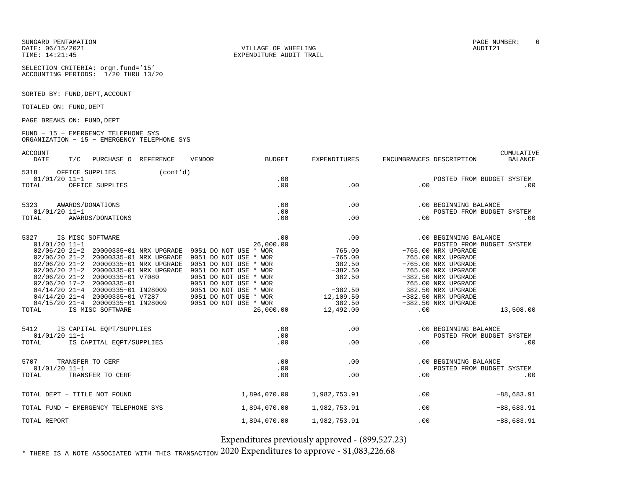SUNGARD PENTAMATIONDATE: 06/15/2021TIME: 14:21:45

SELECTION CRITERIA: orgn.fund='15'ACCOUNTING PERIODS: 1/20 THRU 13/20

SORTED BY: FUND, DEPT, ACCOUNT

TOTALED ON: FUND, DEPT

PAGE BREAKS ON: FUND, DEPT

#### FUND − 15 − EMERGENCY TELEPHONE SYS ORGANIZATION − 15 − EMERGENCY TELEPHONE SYS

ACCOUNT

| ACCOUNT<br><b>DATE</b>           | T/C | PURCHASE O REFERENCE                                                                                                                                                                                              |                                                                                                                         | <b>VENDOR</b>                                                                                                                                                                                                                                                       | <b>BUDGET</b>                 | <b>EXPENDITURES</b>                                                                                          | ENCUMBRANCES DESCRIPTION |                                                                                                                                                                                                                                                                 | CUMULATIVE<br><b>BALANCE</b> |
|----------------------------------|-----|-------------------------------------------------------------------------------------------------------------------------------------------------------------------------------------------------------------------|-------------------------------------------------------------------------------------------------------------------------|---------------------------------------------------------------------------------------------------------------------------------------------------------------------------------------------------------------------------------------------------------------------|-------------------------------|--------------------------------------------------------------------------------------------------------------|--------------------------|-----------------------------------------------------------------------------------------------------------------------------------------------------------------------------------------------------------------------------------------------------------------|------------------------------|
| 5318<br>$01/01/20$ 11-1<br>TOTAL |     | OFFICE SUPPLIES<br>OFFICE SUPPLIES                                                                                                                                                                                | (cont'd)                                                                                                                |                                                                                                                                                                                                                                                                     | .00<br>.00                    | .00                                                                                                          | .00                      | POSTED FROM BUDGET SYSTEM                                                                                                                                                                                                                                       | .00                          |
| 5323<br>$01/01/20$ 11-1<br>TOTAL |     | AWARDS/DONATIONS<br>AWARDS/DONATIONS                                                                                                                                                                              |                                                                                                                         |                                                                                                                                                                                                                                                                     | .00<br>.00<br>.00             | .00<br>.00                                                                                                   | .00                      | .00 BEGINNING BALANCE<br>POSTED FROM BUDGET SYSTEM                                                                                                                                                                                                              | .00                          |
| 5327<br>$01/01/20$ 11-1<br>TOTAL |     | IS MISC SOFTWARE<br>02/06/20 21-2 20000335-01 V7080<br>02/06/20 17-2 20000335-01<br>04/14/20 21-4 20000335-01 IN28009<br>04/14/20 21-4 20000335-01 V7287<br>04/15/20 21-4 20000335-01 IN28009<br>IS MISC SOFTWARE | 02/06/20 21-2 20000335-01 NRX UPGRADE<br>02/06/20 21-2 20000335-01 NRX UPGRADE<br>02/06/20 21-2 20000335-01 NRX UPGRADE | 02/06/20 21-2 20000335-01 NRX UPGRADE 9051 DO NOT USE * WOR<br>9051 DO NOT USE * WOR<br>9051 DO NOT USE * WOR<br>9051 DO NOT USE * WOR<br>9051 DO NOT USE * WOR<br>9051 DO NOT USE * WOR<br>9051 DO NOT USE * WOR<br>9051 DO NOT USE * WOR<br>9051 DO NOT USE * WOR | .00<br>26,000.00<br>26,000.00 | .00<br>765.00<br>$-765.00$<br>382.50<br>$-382.50$<br>382.50<br>$-382.50$<br>12,109.50<br>382.50<br>12,492.00 | .00                      | .00 BEGINNING BALANCE<br>POSTED FROM BUDGET SYSTEM<br>-765.00 NRX UPGRADE<br>765.00 NRX UPGRADE<br>-765.00 NRX UPGRADE<br>765.00 NRX UPGRADE<br>-382.50 NRX UPGRADE<br>765.00 NRX UPGRADE<br>382.50 NRX UPGRADE<br>$-382.50$ NRX UPGRADE<br>-382.50 NRX UPGRADE | 13,508.00                    |
| 5412<br>$01/01/20$ 11-1<br>TOTAL |     | IS CAPITAL EQPT/SUPPLIES<br>IS CAPITAL EQPT/SUPPLIES                                                                                                                                                              |                                                                                                                         |                                                                                                                                                                                                                                                                     | .00<br>.00<br>.00             | .00<br>.00                                                                                                   | .00                      | .00 BEGINNING BALANCE<br>POSTED FROM BUDGET SYSTEM                                                                                                                                                                                                              | .00                          |
| 5707<br>$01/01/20$ 11-1<br>TOTAL |     | TRANSFER TO CERF<br>TRANSFER TO CERF                                                                                                                                                                              |                                                                                                                         |                                                                                                                                                                                                                                                                     | .00<br>.00<br>.00             | .00<br>.00                                                                                                   | .00                      | .00 BEGINNING BALANCE<br>POSTED FROM BUDGET SYSTEM                                                                                                                                                                                                              | .00                          |
|                                  |     | TOTAL DEPT - TITLE NOT FOUND                                                                                                                                                                                      |                                                                                                                         |                                                                                                                                                                                                                                                                     | 1,894,070.00                  | 1,982,753.91                                                                                                 | .00                      |                                                                                                                                                                                                                                                                 | $-88,683.91$                 |
|                                  |     | TOTAL FUND - EMERGENCY TELEPHONE SYS                                                                                                                                                                              |                                                                                                                         |                                                                                                                                                                                                                                                                     | 1,894,070.00                  | 1,982,753.91                                                                                                 | .00                      |                                                                                                                                                                                                                                                                 | $-88,683.91$                 |
| TOTAL REPORT                     |     |                                                                                                                                                                                                                   |                                                                                                                         |                                                                                                                                                                                                                                                                     | 1,894,070.00                  | 1,982,753.91                                                                                                 | .00                      |                                                                                                                                                                                                                                                                 | $-88,683.91$                 |

Expenditures previously approved - (899,527.23)

 $^{\ast}$  there is a note associated with this transaction  $2020$  Expenditures to approve -  $\$1,\!083,\!226.68$ 

 VILLAGE OF WHEELING AUDIT21 EXPENDITURE AUDIT TRAIL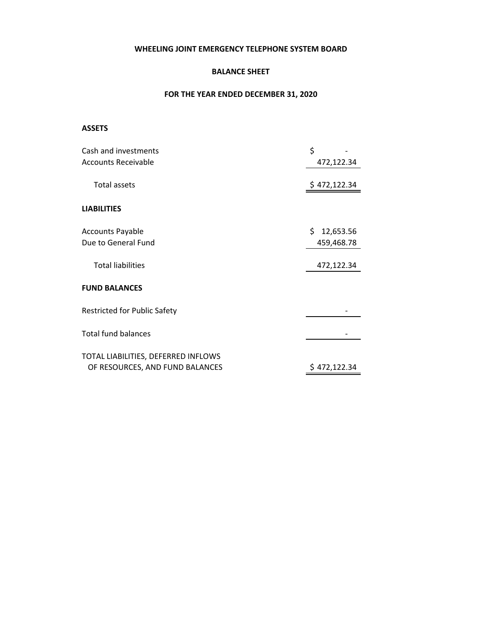### **WHEELING JOINT EMERGENCY TELEPHONE SYSTEM BOARD**

### **BALANCE SHEET**

### **FOR THE YEAR ENDED DECEMBER 31, 2020**

### **ASSETS**

| Cash and investments                | \$              |
|-------------------------------------|-----------------|
| <b>Accounts Receivable</b>          | 472,122.34      |
|                                     |                 |
| Total assets                        | \$472,122.34    |
|                                     |                 |
| <b>LIABILITIES</b>                  |                 |
|                                     |                 |
| <b>Accounts Payable</b>             | \$<br>12,653.56 |
| Due to General Fund                 | 459,468.78      |
|                                     |                 |
| <b>Total liabilities</b>            | 472,122.34      |
|                                     |                 |
| <b>FUND BALANCES</b>                |                 |
|                                     |                 |
| <b>Restricted for Public Safety</b> |                 |
| <b>Total fund balances</b>          |                 |
|                                     |                 |
| TOTAL LIABILITIES, DEFERRED INFLOWS |                 |
| OF RESOURCES, AND FUND BALANCES     | \$472,122.34    |
|                                     |                 |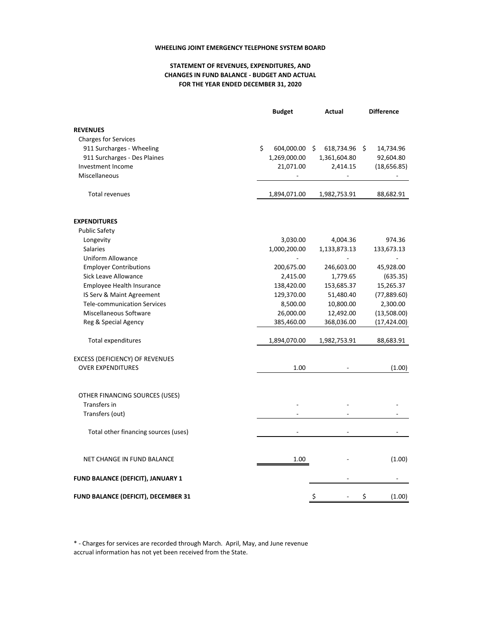#### **WHEELING JOINT EMERGENCY TELEPHONE SYSTEM BOARD**

### **STATEMENT OF REVENUES, EXPENDITURES, AND FOR THE YEAR ENDED DECEMBER 31, 2020 CHANGES IN FUND BALANCE ‐ BUDGET AND ACTUAL**

|                                          | <b>Budget</b>     | Actual                   | <b>Difference</b> |
|------------------------------------------|-------------------|--------------------------|-------------------|
| <b>REVENUES</b>                          |                   |                          |                   |
| <b>Charges for Services</b>              |                   |                          |                   |
| 911 Surcharges - Wheeling                | \$.<br>604,000.00 | 618,734.96<br>\$.        | 14,734.96<br>\$.  |
| 911 Surcharges - Des Plaines             | 1,269,000.00      | 1,361,604.80             | 92,604.80         |
| Investment Income                        | 21,071.00         | 2,414.15                 | (18, 656.85)      |
| Miscellaneous                            |                   |                          |                   |
| <b>Total revenues</b>                    | 1,894,071.00      | 1,982,753.91             | 88,682.91         |
| <b>EXPENDITURES</b>                      |                   |                          |                   |
| <b>Public Safety</b>                     |                   |                          |                   |
| Longevity                                | 3,030.00          | 4,004.36                 | 974.36            |
| <b>Salaries</b>                          | 1,000,200.00      | 1,133,873.13             | 133,673.13        |
| <b>Uniform Allowance</b>                 |                   | $\overline{\phantom{a}}$ |                   |
| <b>Employer Contributions</b>            | 200,675.00        | 246,603.00               | 45,928.00         |
| Sick Leave Allowance                     | 2,415.00          | 1,779.65                 | (635.35)          |
| Employee Health Insurance                | 138,420.00        | 153,685.37               | 15,265.37         |
| IS Serv & Maint Agreement                | 129,370.00        | 51,480.40                | (77,889.60)       |
| <b>Tele-communication Services</b>       | 8,500.00          | 10,800.00                | 2,300.00          |
| Miscellaneous Software                   | 26,000.00         | 12,492.00                | (13,508.00)       |
| Reg & Special Agency                     | 385,460.00        | 368,036.00               | (17, 424.00)      |
| <b>Total expenditures</b>                | 1,894,070.00      | 1,982,753.91             | 88,683.91         |
| EXCESS (DEFICIENCY) OF REVENUES          |                   |                          |                   |
| <b>OVER EXPENDITURES</b>                 | 1.00              |                          | (1.00)            |
| OTHER FINANCING SOURCES (USES)           |                   |                          |                   |
| Transfers in                             |                   |                          |                   |
| Transfers (out)                          |                   |                          |                   |
| Total other financing sources (uses)     |                   |                          |                   |
| NET CHANGE IN FUND BALANCE               | 1.00              |                          | (1.00)            |
| <b>FUND BALANCE (DEFICIT), JANUARY 1</b> |                   |                          |                   |
| FUND BALANCE (DEFICIT), DECEMBER 31      |                   | \$                       | \$<br>(1.00)      |

\* ‐ Charges for services are recorded through March. April, May, and June revenue accrual information has not yet been received from the State.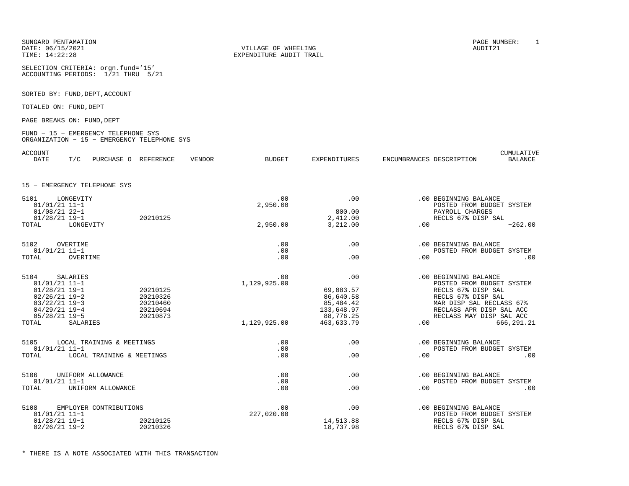SUNGARD PENTAMATION PAGE NUMBER: 1

SELECTION CRITERIA: orgn.fund='15'ACCOUNTING PERIODS: 1/21 THRU 5/21

SORTED BY: FUND, DEPT, ACCOUNT

TOTALED ON: FUND, DEPT

PAGE BREAKS ON: FUND, DEPT

#### FUND − 15 − EMERGENCY TELEPHONE SYS ORGANIZATION − 15 − EMERGENCY TELEPHONE SYS

| ACCOUNT<br><b>DATE</b>                                | T/C       | PURCHASE O                   | REFERENCE                        | <b>VENDOR</b> | <b>BUDGET</b>   | <b>EXPENDITURES</b>                    | ENCUMBRANCES DESCRIPTION |                                                                            | CUMULATIVE<br><b>BALANCE</b> |
|-------------------------------------------------------|-----------|------------------------------|----------------------------------|---------------|-----------------|----------------------------------------|--------------------------|----------------------------------------------------------------------------|------------------------------|
|                                                       |           | 15 - EMERGENCY TELEPHONE SYS |                                  |               |                 |                                        |                          |                                                                            |                              |
| 5101<br>$01/01/21$ 11-1                               | LONGEVITY |                              |                                  |               | .00<br>2,950.00 | .00                                    |                          | .00 BEGINNING BALANCE<br>POSTED FROM BUDGET SYSTEM                         |                              |
| $01/08/21$ 22-1<br>$01/28/21$ 19-1                    |           |                              | 20210125                         |               |                 | 800.00<br>2,412.00                     |                          | PAYROLL CHARGES<br>RECLS 67% DISP SAL                                      |                              |
| TOTAL                                                 | LONGEVITY |                              |                                  |               | 2,950.00        | 3,212.00                               | .00                      |                                                                            | $-262.00$                    |
| 5102<br>$01/01/21$ 11-1                               | OVERTIME  |                              |                                  |               | .00<br>.00      | .00                                    |                          | .00 BEGINNING BALANCE<br>POSTED FROM BUDGET SYSTEM                         |                              |
| TOTAL                                                 | OVERTIME  |                              |                                  |               | .00             | .00                                    | .00                      |                                                                            | .00                          |
| 5104                                                  | SALARIES  |                              |                                  |               | .00             | .00                                    |                          | .00 BEGINNING BALANCE                                                      |                              |
| $01/01/21$ 11-1<br>$01/28/21$ 19-1                    |           |                              | 20210125                         |               | 1,129,925.00    | 69,083.57                              |                          | POSTED FROM BUDGET SYSTEM<br>RECLS 67% DISP SAL                            |                              |
| $02/26/21$ 19-2<br>$03/22/21$ 19-3<br>$04/29/21$ 19-4 |           |                              | 20210326<br>20210460<br>20210694 |               |                 | 86,640.58<br>85, 484. 42<br>133,648.97 |                          | RECLS 67% DISP SAL<br>MAR DISP SAL RECLASS 67%<br>RECLASS APR DISP SAL ACC |                              |
| $05/28/21$ 19-5<br>TOTAL                              | SALARIES  |                              | 20210873                         |               | 1,129,925.00    | 88,776.25<br>463,633.79                | .00                      | RECLASS MAY DISP SAL ACC                                                   | 666, 291.21                  |
|                                                       |           |                              |                                  |               |                 |                                        |                          |                                                                            |                              |
| 5105<br>$01/01/21$ 11-1                               |           | LOCAL TRAINING & MEETINGS    |                                  |               | .00<br>.00      | .00                                    |                          | .00 BEGINNING BALANCE<br>POSTED FROM BUDGET SYSTEM                         |                              |
| TOTAL                                                 |           | LOCAL TRAINING & MEETINGS    |                                  |               | .00             | .00                                    | .00                      |                                                                            | .00                          |
| 5106                                                  |           | UNIFORM ALLOWANCE            |                                  |               | .00             | .00                                    |                          | .00 BEGINNING BALANCE                                                      |                              |
| $01/01/21$ 11-1<br>TOTAL                              |           | UNIFORM ALLOWANCE            |                                  |               | .00<br>.00      | .00                                    | .00                      | POSTED FROM BUDGET SYSTEM                                                  | .00                          |
| 5108                                                  |           | EMPLOYER CONTRIBUTIONS       |                                  |               | .00             | .00                                    |                          | .00 BEGINNING BALANCE                                                      |                              |
| $01/01/21$ 11-1<br>$01/28/21$ 19-1                    |           |                              | 20210125                         |               | 227,020.00      | 14,513.88                              |                          | POSTED FROM BUDGET SYSTEM<br>RECLS 67% DISP SAL                            |                              |
| $02/26/21$ 19-2                                       |           |                              | 20210326                         |               |                 | 18,737.98                              |                          | RECLS 67% DISP SAL                                                         |                              |

DATE: 06/15/2021 VILLAGE OF WHEELING AUDIT21TIME: 14:22:28 EXPENDITURE AUDIT TRAIL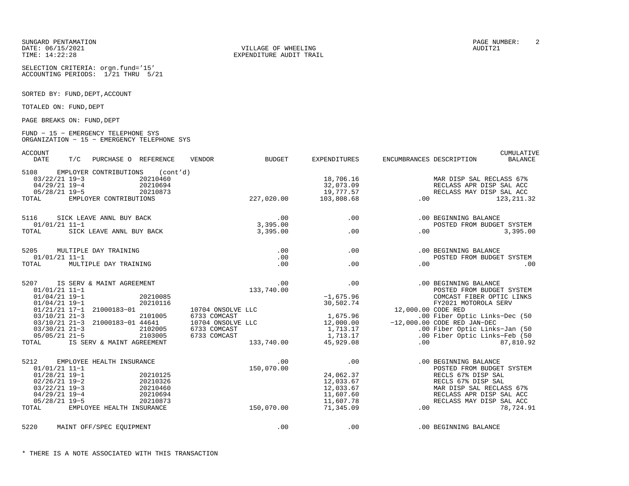DATE: 06/15/2021 VILLAGE OF WHEELING AUDIT21

SELECTION CRITERIA: orgn.fund='15'ACCOUNTING PERIODS: 1/21 THRU 5/21

SORTED BY: FUND, DEPT, ACCOUNT

TOTALED ON: FUND, DEPT

PAGE BREAKS ON: FUND, DEPT

#### FUND − 15 − EMERGENCY TELEPHONE SYS ORGANIZATION − 15 − EMERGENCY TELEPHONE SYS

ACCOUNT CUMULATIVE

| <b>DATE</b>                                                   | T/C | PURCHASE O REFERENCE            |                                                                     | VENDOR                            | <b>BUDGET</b>                        | <b>EXPENDITURES</b>   | ENCUMBRANCES DESCRIPTION                            |                                                                                  | <b>BALANCE</b> |
|---------------------------------------------------------------|-----|---------------------------------|---------------------------------------------------------------------|-----------------------------------|--------------------------------------|-----------------------|-----------------------------------------------------|----------------------------------------------------------------------------------|----------------|
| 5108<br>$03/22/21$ 19-3<br>$04/29/21$ 19-4<br>$05/28/21$ 19-5 |     |                                 | EMPLOYER CONTRIBUTIONS (cont'd)<br>20210460<br>20210694<br>20210873 |                                   | 0<br>4<br>3<br>227,020.00            | 18,706.16             | 18,706.16<br>32,073.09<br>19,777.57<br>103,808.68   | MAR DISP SAL RECLASS 67%<br>RECLASS APR DISP SAL ACC<br>RECLASS MAY DISP SAL ACC |                |
| TOTAL                                                         |     | EMPLOYER CONTRIBUTIONS          |                                                                     |                                   |                                      | 103,808.68            |                                                     | 123, 211.32                                                                      |                |
|                                                               |     |                                 |                                                                     |                                   |                                      |                       |                                                     |                                                                                  |                |
| 5116<br>$01/01/21$ 11-1                                       |     | SICK LEAVE ANNL BUY BACK        |                                                                     |                                   | 00 .<br>3 , 395 . 00<br>3 , 395 . 00 |                       | .00                                                 | .00 BEGINNING BALANCE<br>POSTED FROM BUDGET SYSTEM                               |                |
| TOTAL                                                         |     | SICK LEAVE ANNL BUY BACK        |                                                                     |                                   |                                      | .00                   |                                                     | .00                                                                              | 3,395.00       |
| 5205                                                          |     | MULTIPLE DAY TRAINING           |                                                                     |                                   | .00                                  | .00                   |                                                     | .00 BEGINNING BALANCE                                                            |                |
| $01/01/21$ 11-1                                               |     |                                 |                                                                     |                                   | .00                                  |                       |                                                     | POSTED FROM BUDGET SYSTEM                                                        |                |
| TOTAL                                                         |     | MULTIPLE DAY TRAINING           |                                                                     |                                   | .00                                  | .00                   | .00                                                 |                                                                                  | .00            |
| 5207                                                          |     | IS SERV & MAINT AGREEMENT       |                                                                     |                                   | .00                                  | .00                   |                                                     | .00 BEGINNING BALANCE                                                            |                |
| $01/01/21$ 11-1<br>$01/04/21$ 19-1                            |     |                                 | 20210085                                                            |                                   | 133,740.00                           | $-1,675.96$           |                                                     | POSTED FROM BUDGET SYSTEM<br>COMCAST FIBER OPTIC LINKS                           |                |
| $01/04/21$ 19-1                                               |     |                                 | 20210116                                                            |                                   |                                      | 30,502.74             |                                                     | FY2021 MOTOROLA SERV                                                             |                |
|                                                               |     | 01/21/21 17-1 21000183-01       |                                                                     | 10704 ONSOLVE LLC                 |                                      |                       | 12,000.00 CODE RED                                  |                                                                                  |                |
| $03/10/21$ 21-3                                               |     | 03/10/21 21-3 21000183-01 44641 | 2101005                                                             | 6733 COMCAST<br>10704 ONSOLVE LLC |                                      | 1,675.96<br>12,000.00 |                                                     | .00 Fiber Optic Links-Dec (50<br>$-12,000.00$ CODE RED JAN-DEC                   |                |
| $03/30/21$ 21-3                                               |     |                                 | 2102005                                                             | 6733 COMCAST                      |                                      | 1,713.17              |                                                     | .00 Fiber Optic Links-Jan (50                                                    |                |
| $05/05/21$ 21-5                                               |     |                                 | 2103005                                                             | 6733 COMCAST                      |                                      | 1,713.17              |                                                     | .00 Fiber Optic Links-Feb (50                                                    |                |
| TOTAL                                                         |     | IS SERV & MAINT AGREEMENT       |                                                                     |                                   | 133,740.00                           | 45,929.08             | .00                                                 |                                                                                  | 87,810.92      |
| 5212                                                          |     | EMPLOYEE HEALTH INSURANCE       |                                                                     |                                   | .00                                  |                       | .00                                                 | .00 BEGINNING BALANCE                                                            |                |
| $01/01/21$ 11-1                                               |     |                                 |                                                                     |                                   | 150,070.00                           |                       |                                                     | POSTED FROM BUDGET SYSTEM                                                        |                |
| $01/28/21$ 19-1<br>$02/26/21$ 19-2                            |     |                                 | 20210125<br>20210326                                                |                                   |                                      | 24,062.37             |                                                     | RECLS 67% DISP SAL<br>RECLS 67% DISP SAL                                         |                |
| $03/22/21$ 19-3                                               |     |                                 | 20210460                                                            |                                   |                                      |                       |                                                     | MAR DISP SAL RECLASS 67%                                                         |                |
| $04/29/21$ 19-4                                               |     |                                 | 20210694                                                            |                                   |                                      |                       | $212,033.67$<br>12,033.67<br>11,607.60<br>11,607.78 | RECLASS APR DISP SAL ACC                                                         |                |
| $05/28/21$ 19-5                                               |     |                                 | 20210873                                                            |                                   |                                      |                       |                                                     | RECLASS MAY DISP SAL ACC                                                         |                |
| TOTAL                                                         |     | EMPLOYEE HEALTH INSURANCE       |                                                                     |                                   | 150,070.00                           | 71,345.09             |                                                     | 78,724.91                                                                        |                |
| 5220                                                          |     | MAINT OFF/SPEC EOUIPMENT        |                                                                     |                                   | .00                                  | .00                   |                                                     | .00 BEGINNING BALANCE                                                            |                |
|                                                               |     |                                 |                                                                     |                                   |                                      |                       |                                                     |                                                                                  |                |

TIME: 14:22:28 EXPENDITURE AUDIT TRAIL

SUNGARD PENTAMATION PAGE NUMBER: 2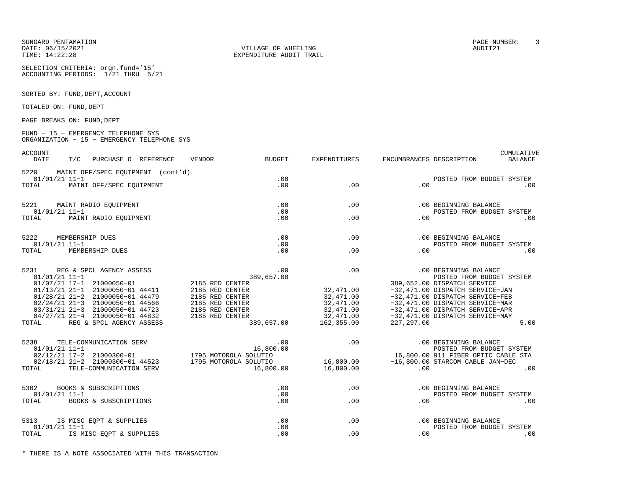SUNGARD PENTAMATION PAGE NUMBER: 3DATE: 06/15/2021 VILLAGE OF WHEELING AUDIT21

SELECTION CRITERIA: orgn.fund='15'ACCOUNTING PERIODS: 1/21 THRU 5/21

SORTED BY: FUND, DEPT, ACCOUNT

TOTALED ON: FUND, DEPT

PAGE BREAKS ON: FUND, DEPT

#### FUND − 15 − EMERGENCY TELEPHONE SYS ORGANIZATION − 15 − EMERGENCY TELEPHONE SYS

ACCOUNT CUMULATIVE

| <b>DATE</b>              | T/C | PURCHASE O REFERENCE                   |  | <b>VENDOR</b>                                         | <b>BUDGET</b> | EXPENDITURES               |            | ENCUMBRANCES DESCRIPTION                                                                                                                                                                                                      | <b>BALANCE</b> |
|--------------------------|-----|----------------------------------------|--|-------------------------------------------------------|---------------|----------------------------|------------|-------------------------------------------------------------------------------------------------------------------------------------------------------------------------------------------------------------------------------|----------------|
|                          |     | 5220 MAINT OFF/SPEC EQUIPMENT (cont'd) |  |                                                       |               |                            |            |                                                                                                                                                                                                                               |                |
| $01/01/21$ 11-1          |     |                                        |  |                                                       | .00           |                            |            | POSTED FROM BUDGET SYSTEM                                                                                                                                                                                                     |                |
| TOTAL                    |     | MAINT OFF/SPEC EQUIPMENT               |  |                                                       | .00           | .00                        | .00        |                                                                                                                                                                                                                               | .00            |
|                          |     | 5221 MAINT RADIO EQUIPMENT             |  |                                                       | .00           | .00                        |            | .00 BEGINNING BALANCE                                                                                                                                                                                                         |                |
| $01/01/21$ 11-1          |     |                                        |  |                                                       | .00           |                            |            | POSTED FROM BUDGET SYSTEM                                                                                                                                                                                                     |                |
| TOTAL                    |     | MAINT RADIO EQUIPMENT                  |  |                                                       | .00           | .00                        | .00        |                                                                                                                                                                                                                               | $.00 \,$       |
|                          |     |                                        |  |                                                       |               |                            |            |                                                                                                                                                                                                                               |                |
| 5222                     |     | MEMBERSHIP DUES                        |  |                                                       | .00           | $.00 \,$                   |            | .00 BEGINNING BALANCE                                                                                                                                                                                                         |                |
| $01/01/21$ 11-1<br>TOTAL |     |                                        |  |                                                       | .00           |                            |            | POSTED FROM BUDGET SYSTEM                                                                                                                                                                                                     |                |
|                          |     | MEMBERSHIP DUES                        |  |                                                       | .00           | .00                        | .00        |                                                                                                                                                                                                                               | .00            |
|                          |     | 5231 REG & SPCL AGENCY ASSESS          |  | ESS 389,6<br>2185 RED CENTER                          | .00           | .00                        |            | .00 BEGINNING BALANCE                                                                                                                                                                                                         |                |
| $01/01/21$ 11-1          |     |                                        |  |                                                       | 389,657.00    |                            |            | POSTED FROM BUDGET SYSTEM                                                                                                                                                                                                     |                |
|                          |     | 01/07/21 17-1 21000050-01              |  |                                                       |               | $39,657.00$<br>$32,471.00$ |            | 389,652.00 DISPATCH SERVICE                                                                                                                                                                                                   |                |
|                          |     |                                        |  | 01/13/21 21-1 21000050-01 44411 2185 RED CENTER       |               |                            |            | -32,471.00 DISPATCH SERVICE-JAN                                                                                                                                                                                               |                |
|                          |     | 01/28/21 21-2 21000050-01 44479        |  |                                                       |               |                            |            |                                                                                                                                                                                                                               |                |
|                          |     | 02/24/21 21-3 21000050-01 44566        |  | 2185 RED CENTER<br>2185 RED CENTER<br>2185 RED CENTER |               |                            |            | 32,471.00 -32,471.00 DISPATCH SERVICE-FEB<br>32,471.00 -32,471.00 DISPATCH SERVICE-FEB<br>32,471.00 -32,471.00 DISPATCH SERVICE-MAR<br>32,471.00 -32,471.00 DISPATCH SERVICE-APR<br>32,471.00 -32,471.00 DISPATCH SERVICE-MAY |                |
|                          |     | 03/31/21 21-3 21000050-01 44723        |  |                                                       |               |                            |            |                                                                                                                                                                                                                               |                |
|                          |     | 04/27/21 21-4 21000050-01 44832        |  | 2185 RED CENTER                                       |               |                            |            |                                                                                                                                                                                                                               |                |
| TOTAL                    |     | REG & SPCL AGENCY ASSESS               |  |                                                       |               | 389,657.00 162,355.00      | 227,297.00 |                                                                                                                                                                                                                               | 5.00           |
| 5238                     |     |                                        |  |                                                       |               |                            |            |                                                                                                                                                                                                                               |                |
|                          |     |                                        |  |                                                       |               |                            |            |                                                                                                                                                                                                                               |                |
|                          |     |                                        |  |                                                       |               |                            |            |                                                                                                                                                                                                                               |                |
|                          |     |                                        |  |                                                       |               |                            |            |                                                                                                                                                                                                                               |                |
| TOTAL                    |     | TELE-COMMUNICATION SERV                |  |                                                       |               | 16,800.00    16,800.00     | .00        |                                                                                                                                                                                                                               | .00            |
| 5302                     |     | BOOKS & SUBSCRIPTIONS                  |  |                                                       | .00           |                            | .00        | .00 BEGINNING BALANCE                                                                                                                                                                                                         |                |
| $01/01/21$ 11-1          |     |                                        |  |                                                       | .00           |                            |            | POSTED FROM BUDGET SYSTEM                                                                                                                                                                                                     |                |
| TOTAL                    |     | BOOKS & SUBSCRIPTIONS                  |  |                                                       | .00           | .00                        | .00        |                                                                                                                                                                                                                               | .00            |
|                          |     |                                        |  |                                                       |               |                            |            |                                                                                                                                                                                                                               |                |
|                          |     | 5313 IS MISC EQPT & SUPPLIES           |  |                                                       | .00           |                            | .00        | .00 BEGINNING BALANCE                                                                                                                                                                                                         |                |
| $01/01/21$ 11-1          |     |                                        |  |                                                       | .00           |                            |            | POSTED FROM BUDGET SYSTEM                                                                                                                                                                                                     |                |
| TOTAL                    |     | IS MISC EQPT & SUPPLIES                |  |                                                       | .00           | .00                        | .00        |                                                                                                                                                                                                                               | .00            |

TIME: 14:22:28 EXPENDITURE AUDIT TRAIL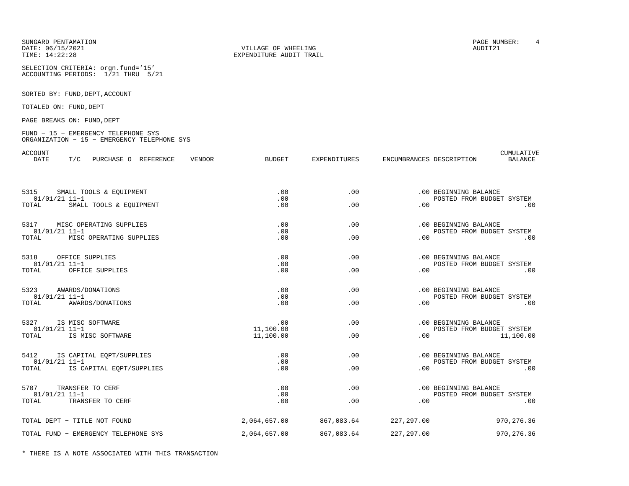DATE: 06/15/2021 VILLAGE OF WHEELING AUDIT21

SELECTION CRITERIA: orgn.fund='15'ACCOUNTING PERIODS: 1/21 THRU 5/21

SORTED BY: FUND, DEPT, ACCOUNT

TOTALED ON: FUND, DEPT

PAGE BREAKS ON: FUND, DEPT

#### FUND − 15 − EMERGENCY TELEPHONE SYS ORGANIZATION − 15 − EMERGENCY TELEPHONE SYS

ACCOUNT CUMULATIVE

| <b>DATE</b><br>PURCHASE O REFERENCE<br>T/C         | <b>BUDGET</b><br>VENDOR | <b>EXPENDITURES</b> | ENCUMBRANCES DESCRIPTION | <b>BALANCE</b>                                     |
|----------------------------------------------------|-------------------------|---------------------|--------------------------|----------------------------------------------------|
| 5315<br>SMALL TOOLS & EQUIPMENT<br>$01/01/21$ 11-1 | .00<br>.00              | .00                 |                          | .00 BEGINNING BALANCE<br>POSTED FROM BUDGET SYSTEM |
| TOTAL<br>SMALL TOOLS & EQUIPMENT                   | .00                     | .00                 | .00                      | .00                                                |
| 5317<br>MISC OPERATING SUPPLIES<br>$01/01/21$ 11-1 | .00<br>.00              | .00                 |                          | .00 BEGINNING BALANCE<br>POSTED FROM BUDGET SYSTEM |
| TOTAL MISC OPERATING SUPPLIES                      | .00                     | .00                 | .00                      | .00                                                |
| 5318<br>OFFICE SUPPLIES<br>$01/01/21$ 11-1         | .00<br>.00              | .00                 |                          | .00 BEGINNING BALANCE<br>POSTED FROM BUDGET SYSTEM |
| TOTAL OFFICE SUPPLIES                              | .00                     | .00                 | .00                      | .00                                                |
| 5323<br>AWARDS/DONATIONS<br>$01/01/21$ 11-1        | .00<br>.00              | .00                 |                          | .00 BEGINNING BALANCE<br>POSTED FROM BUDGET SYSTEM |
| TOTAL AWARDS/DONATIONS                             | .00                     | $.00 \,$            | .00                      | .00                                                |
| 5327<br>IS MISC SOFTWARE<br>$01/01/21$ 11-1        | $\sim$ 00<br>11,100.00  | .00                 |                          | .00 BEGINNING BALANCE<br>POSTED FROM BUDGET SYSTEM |
| TOTAL IS MISC SOFTWARE                             | 11,100.00               | .00                 |                          | 11,100.00                                          |
| 5412 IS CAPITAL EQPT/SUPPLIES<br>$01/01/21$ 11-1   | .00<br>.00              | .00                 |                          | .00 BEGINNING BALANCE<br>POSTED FROM BUDGET SYSTEM |
| TOTAL IS CAPITAL EOPT/SUPPLIES                     | .00                     | .00                 |                          | .00<br>.00                                         |
| 5707<br>TRANSFER TO CERF<br>$01/01/21$ 11-1        | .00<br>.00              | $.00 \times$        |                          | .00 BEGINNING BALANCE<br>POSTED FROM BUDGET SYSTEM |
| TOTAL TRANSFER TO CERF                             | .00                     | .00                 | .00                      | .00                                                |
| TOTAL DEPT - TITLE NOT FOUND                       | 2,064,657.00            | 867,083.64          | 227, 297.00              | 970,276.36                                         |
| TOTAL FUND - EMERGENCY TELEPHONE SYS               | 2,064,657.00            | 867,083.64          | 227,297.00               | 970, 276.36                                        |

TIME: 14:22:28 EXPENDITURE AUDIT TRAIL

SUNGARD PENTAMATION PAGE NUMBER: 4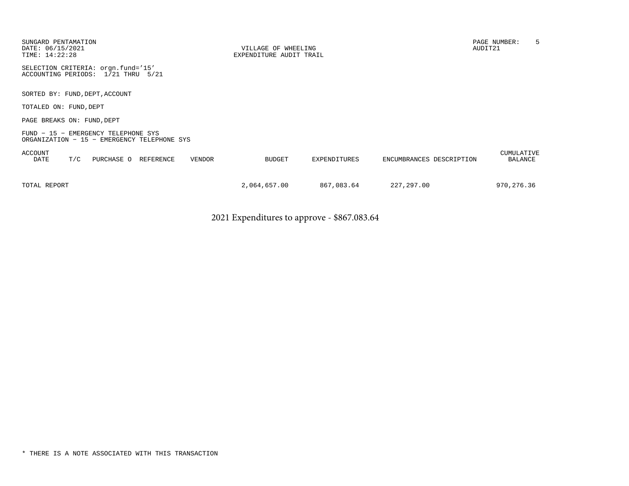| SUNGARD PENTAMATION<br>DATE: 06/15/2021<br>TIME: 14:22:28                          | VILLAGE OF WHEELING<br>EXPENDITURE AUDIT TRAIL |              |                          | PAGE NUMBER:<br>AUDIT21 | 5 |
|------------------------------------------------------------------------------------|------------------------------------------------|--------------|--------------------------|-------------------------|---|
| SELECTION CRITERIA: orgn.fund='15'<br>ACCOUNTING PERIODS: 1/21 THRU 5/21           |                                                |              |                          |                         |   |
| SORTED BY: FUND, DEPT, ACCOUNT                                                     |                                                |              |                          |                         |   |
| TOTALED ON: FUND, DEPT                                                             |                                                |              |                          |                         |   |
| PAGE BREAKS ON: FUND, DEPT                                                         |                                                |              |                          |                         |   |
| FUND - 15 - EMERGENCY TELEPHONE SYS<br>ORGANIZATION - 15 - EMERGENCY TELEPHONE SYS |                                                |              |                          |                         |   |
| <b>ACCOUNT</b><br>T/C<br>DATE<br>PURCHASE O<br>REFERENCE<br><b>VENDOR</b>          | <b>BUDGET</b>                                  | EXPENDITURES | ENCUMBRANCES DESCRIPTION | CUMULATIVE<br>BALANCE   |   |
| TOTAL REPORT                                                                       | 2,064,657.00                                   | 867,083.64   | 227, 297.00              | 970,276.36              |   |

2021 Expenditures to approve - \$867.083.64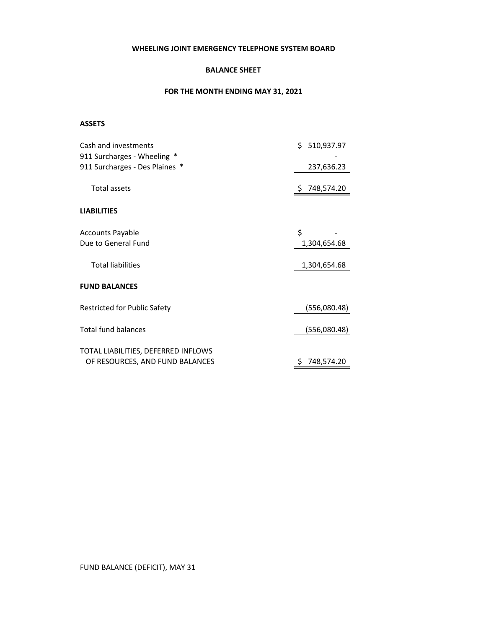### **WHEELING JOINT EMERGENCY TELEPHONE SYSTEM BOARD**

### **BALANCE SHEET**

### **FOR THE MONTH ENDING MAY 31, 2021**

### **ASSETS**

| Cash and investments                | \$510,937.97     |
|-------------------------------------|------------------|
| 911 Surcharges - Wheeling *         |                  |
| 911 Surcharges - Des Plaines *      | 237,636.23       |
| <b>Total assets</b>                 | \$748,574.20     |
| <b>LIABILITIES</b>                  |                  |
| <b>Accounts Payable</b>             | \$               |
| Due to General Fund                 | 1,304,654.68     |
|                                     |                  |
| <b>Total liabilities</b>            | 1,304,654.68     |
| <b>FUND BALANCES</b>                |                  |
| <b>Restricted for Public Safety</b> | (556,080.48)     |
| <b>Total fund balances</b>          | (556,080.48)     |
| TOTAL LIABILITIES, DEFERRED INFLOWS |                  |
| OF RESOURCES, AND FUND BALANCES     | 748,574.20<br>Ś. |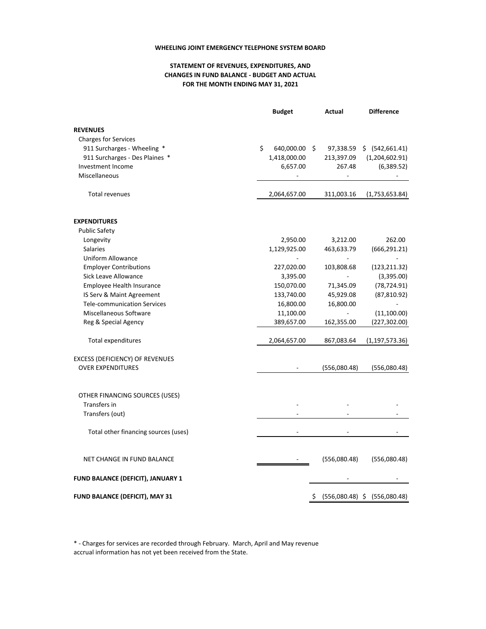#### **WHEELING JOINT EMERGENCY TELEPHONE SYSTEM BOARD**

### **STATEMENT OF REVENUES, EXPENDITURES, AND FOR THE MONTH ENDING MAY 31, 2021 CHANGES IN FUND BALANCE ‐ BUDGET AND ACTUAL**

|                                          | <b>Budget</b>       | Actual         | <b>Difference</b>            |
|------------------------------------------|---------------------|----------------|------------------------------|
| <b>REVENUES</b>                          |                     |                |                              |
| <b>Charges for Services</b>              |                     |                |                              |
| 911 Surcharges - Wheeling *              | \$<br>640,000.00 \$ | 97,338.59      | \$ (542,661.41)              |
| 911 Surcharges - Des Plaines *           | 1,418,000.00        | 213,397.09     | (1,204,602.91)               |
| Investment Income                        | 6,657.00            | 267.48         | (6,389.52)                   |
| Miscellaneous                            |                     |                |                              |
| <b>Total revenues</b>                    | 2,064,657.00        | 311,003.16     | (1,753,653.84)               |
|                                          |                     |                |                              |
| <b>EXPENDITURES</b>                      |                     |                |                              |
| <b>Public Safety</b>                     |                     |                |                              |
| Longevity                                | 2,950.00            | 3,212.00       | 262.00                       |
| <b>Salaries</b>                          | 1,129,925.00        | 463,633.79     | (666, 291.21)                |
| Uniform Allowance                        |                     | $\overline{a}$ |                              |
| <b>Employer Contributions</b>            | 227,020.00          | 103,808.68     | (123, 211.32)                |
| Sick Leave Allowance                     | 3,395.00            | $\overline{a}$ | (3,395.00)                   |
| Employee Health Insurance                | 150,070.00          | 71,345.09      | (78, 724.91)                 |
| IS Serv & Maint Agreement                | 133,740.00          | 45,929.08      | (87, 810.92)                 |
| <b>Tele-communication Services</b>       | 16,800.00           | 16,800.00      |                              |
| Miscellaneous Software                   | 11,100.00           |                | (11, 100.00)                 |
| Reg & Special Agency                     | 389,657.00          | 162,355.00     | (227, 302.00)                |
| <b>Total expenditures</b>                | 2,064,657.00        | 867,083.64     | (1, 197, 573.36)             |
| EXCESS (DEFICIENCY) OF REVENUES          |                     |                |                              |
| <b>OVER EXPENDITURES</b>                 |                     | (556,080.48)   | (556,080.48)                 |
|                                          |                     |                |                              |
| OTHER FINANCING SOURCES (USES)           |                     |                |                              |
| Transfers in                             |                     |                |                              |
| Transfers (out)                          |                     |                |                              |
| Total other financing sources (uses)     |                     |                |                              |
| NET CHANGE IN FUND BALANCE               |                     | (556,080.48)   | (556,080.48)                 |
| <b>FUND BALANCE (DEFICIT), JANUARY 1</b> |                     |                |                              |
| FUND BALANCE (DEFICIT), MAY 31           |                     | \$.            | (556,080.48) \$ (556,080.48) |

\* ‐ Charges for services are recorded through February. March, April and May revenue accrual information has not yet been received from the State.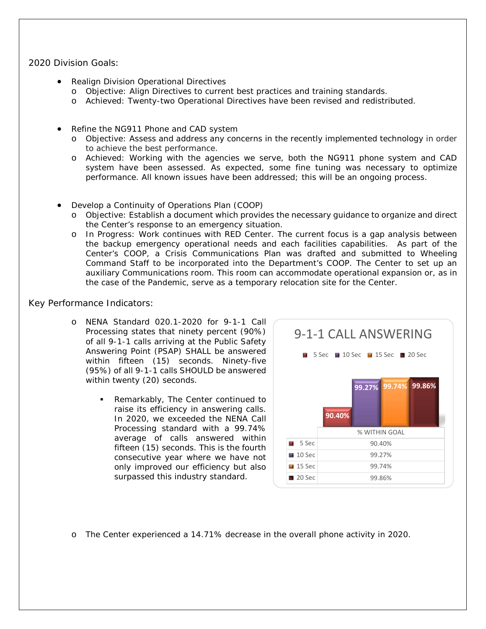### 2020 Division Goals:

- Realign Division Operational Directives
	- o Objective: Align Directives to current best practices and training standards.
	- o Achieved: Twenty-two Operational Directives have been revised and redistributed.
- Refine the NG911 Phone and CAD system
	- o Objective: Assess and address any concerns in the recently implemented technology in order to achieve the best performance.
	- o Achieved: Working with the agencies we serve, both the NG911 phone system and CAD system have been assessed. As expected, some fine tuning was necessary to optimize performance. All known issues have been addressed; this will be an ongoing process.
- Develop a Continuity of Operations Plan (COOP)
	- o Objective: Establish a document which provides the necessary guidance to organize and direct the Center's response to an emergency situation.
	- o In Progress: Work continues with RED Center. The current focus is a gap analysis between the backup emergency operational needs and each facilities capabilities. As part of the Center's COOP, a Crisis Communications Plan was drafted and submitted to Wheeling Command Staff to be incorporated into the Department's COOP. The Center to set up an auxiliary Communications room. This room can accommodate operational expansion or, as in the case of the Pandemic, serve as a temporary relocation site for the Center.

### Key Performance Indicators:

- o NENA Standard 020.1-2020 for 9-1-1 Call Processing states that ninety percent (90%) of all 9-1-1 calls arriving at the Public Safety Answering Point (PSAP) SHALL be answered within fifteen (15) seconds. Ninety-five (95%) of all 9-1-1 calls SHOULD be answered within twenty (20) seconds.
	- **Remarkably, The Center continued to** raise its efficiency in answering calls. In 2020, we exceeded the NENA Call Processing standard with a 99.74% average of calls answered within fifteen (15) seconds. This is the fourth consecutive year where we have not only improved our efficiency but also surpassed this industry standard.



o The Center experienced a 14.71% decrease in the overall phone activity in 2020.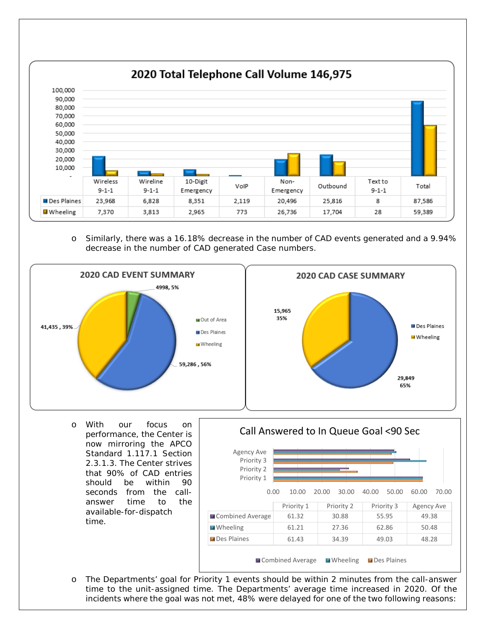

o Similarly, there was a 16.18% decrease in the number of CAD events generated and a 9.94% decrease in the number of CAD generated Case numbers.



o With our focus on performance, the Center is now mirroring the APCO Standard 1.117.1 Section 2.3.1.3. The Center strives that 90% of CAD entries should be within 90 seconds from the callanswer time to the available-for-dispatch time.



o The Departments' goal for Priority 1 events should be within 2 minutes from the call-answer time to the unit-assigned time. The Departments' average time increased in 2020. Of the incidents where the goal was not met, 48% were delayed for one of the two following reasons: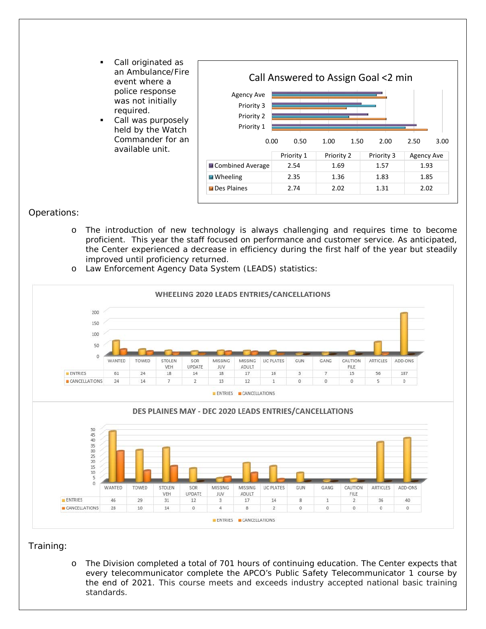- Call originated as an Ambulance/Fire event where a police response was not initially required.
- Call was purposely held by the Watch Commander for an available unit.

|                                                             |            | Call Answered to Assign Goal <2 min |            |              |
|-------------------------------------------------------------|------------|-------------------------------------|------------|--------------|
| <b>Agency Ave</b><br>Priority 3<br>Priority 2<br>Priority 1 |            |                                     |            |              |
| 0.00                                                        | 0.50       | 1.00<br>1.50                        | 2.00       | 3.00<br>2.50 |
|                                                             | Priority 1 | Priority 2                          | Priority 3 | Agency Ave   |
| ■ Combined Average                                          | 2.54       | 1.69                                | 1.57       | 1.93         |
| $\blacksquare$ Wheeling                                     | 2.35       | 1.36                                | 1.83       | 1.85         |
| <b>Des Plaines</b>                                          | 2.74       | 2.02                                | 1.31       | 2.02         |

### Operations:

o The introduction of new technology is always challenging and requires time to become proficient. This year the staff focused on performance and customer service. As anticipated, the Center experienced a decrease in efficiency during the first half of the year but steadily improved until proficiency returned.





### Training:

o The Division completed a total of 701 hours of continuing education. The Center expects that every telecommunicator complete the APCO's Public Safety Telecommunicator 1 course by the end of 2021. This course meets and exceeds industry accepted national basic training standards.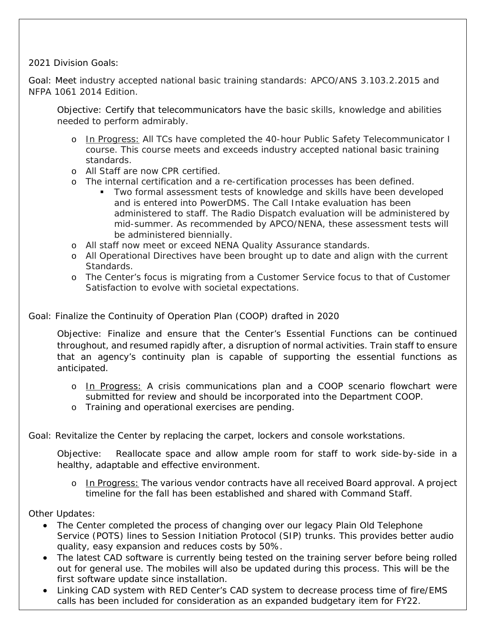2021 Division Goals:

Goal: Meet industry accepted national basic training standards: APCO/ANS 3.103.2.2015 and NFPA 1061 2014 Edition.

Objective: Certify that telecommunicators have the basic skills, knowledge and abilities needed to perform admirably.

- o In Progress: All TCs have completed the 40-hour Public Safety Telecommunicator I course. This course meets and exceeds industry accepted national basic training standards.
- o All Staff are now CPR certified.
- o The internal certification and a re-certification processes has been defined.
	- Two formal assessment tests of knowledge and skills have been developed and is entered into PowerDMS. The Call Intake evaluation has been administered to staff. The Radio Dispatch evaluation will be administered by mid-summer. As recommended by APCO/NENA, these assessment tests will be administered biennially.
- o All staff now meet or exceed NENA Quality Assurance standards.
- o All Operational Directives have been brought up to date and align with the current Standards.
- o The Center's focus is migrating from a Customer Service focus to that of Customer Satisfaction to evolve with societal expectations.

### Goal: Finalize the Continuity of Operation Plan (COOP) drafted in 2020

Objective: Finalize and ensure that the Center's Essential Functions can be continued throughout, and resumed rapidly after, a disruption of normal activities. Train staff to ensure that an agency's continuity plan is capable of supporting the essential functions as anticipated.

- o In Progress: A crisis communications plan and a COOP scenario flowchart were submitted for review and should be incorporated into the Department COOP.
- o Training and operational exercises are pending.

Goal: Revitalize the Center by replacing the carpet, lockers and console workstations.

Objective: Reallocate space and allow ample room for staff to work side-by-side in a healthy, adaptable and effective environment.

o In Progress: The various vendor contracts have all received Board approval. A project timeline for the fall has been established and shared with Command Staff.

Other Updates:

- The Center completed the process of changing over our legacy Plain Old Telephone Service (POTS) lines to Session Initiation Protocol (SIP) trunks. This provides better audio quality, easy expansion and reduces costs by 50%.
- The latest CAD software is currently being tested on the training server before being rolled out for general use. The mobiles will also be updated during this process. This will be the first software update since installation.
- Linking CAD system with RED Center's CAD system to decrease process time of fire/EMS calls has been included for consideration as an expanded budgetary item for FY22.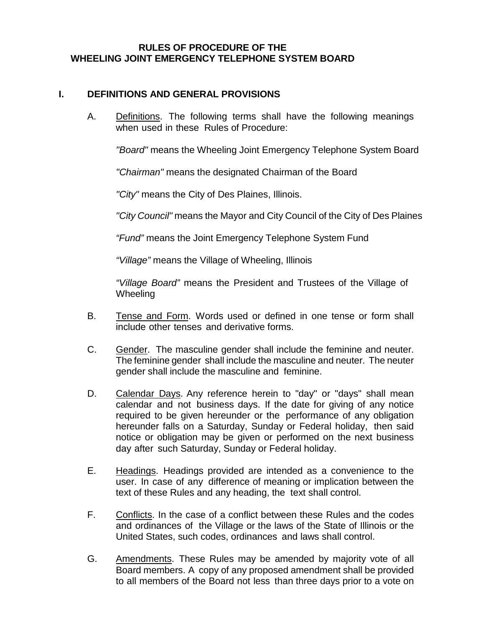### **RULES OF PROCEDURE OF THE WHEELING JOINT EMERGENCY TELEPHONE SYSTEM BOARD**

### **I. DEFINITIONS AND GENERAL PROVISIONS**

A. Definitions. The following terms shall have the following meanings when used in these Rules of Procedure:

*"Board"* means the Wheeling Joint Emergency Telephone System Board

*"Chairman"* means the designated Chairman of the Board

*"City"* means the City of Des Plaines, Illinois.

*"City Council"* means the Mayor and City Council of the City of Des Plaines

*"Fund"* means the Joint Emergency Telephone System Fund

*"Village"* means the Village of Wheeling, Illinois

*"Village Board"* means the President and Trustees of the Village of **Wheeling** 

- B. Tense and Form. Words used or defined in one tense or form shall include other tenses and derivative forms.
- C. Gender. The masculine gender shall include the feminine and neuter. The feminine gender shall include the masculine and neuter. The neuter gender shall include the masculine and feminine.
- D. Calendar Days. Any reference herein to "day" or "days" shall mean calendar and not business days. If the date for giving of any notice required to be given hereunder or the performance of any obligation hereunder falls on a Saturday, Sunday or Federal holiday, then said notice or obligation may be given or performed on the next business day after such Saturday, Sunday or Federal holiday.
- E. Headings. Headings provided are intended as a convenience to the user. In case of any difference of meaning or implication between the text of these Rules and any heading, the text shall control.
- F. Conflicts. In the case of a conflict between these Rules and the codes and ordinances of the Village or the laws of the State of Illinois or the United States, such codes, ordinances and laws shall control.
- G. Amendments. These Rules may be amended by majority vote of all Board members. A copy of any proposed amendment shall be provided to all members of the Board not less than three days prior to a vote on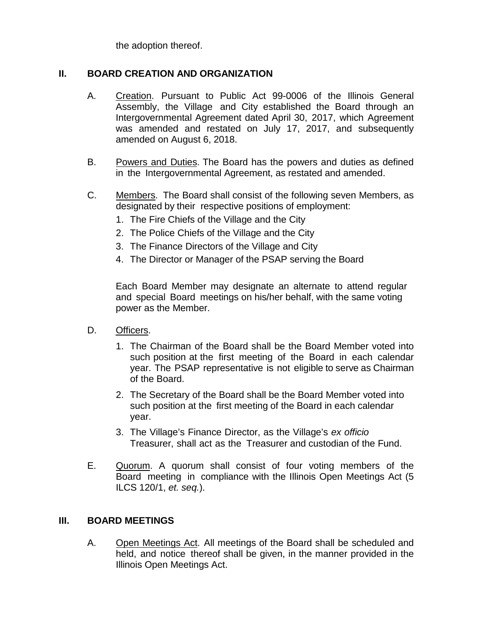the adoption thereof.

## **II. BOARD CREATION AND ORGANIZATION**

- A. Creation. Pursuant to Public Act 99-0006 of the Illinois General Assembly, the Village and City established the Board through an Intergovernmental Agreement dated April 30, 2017, which Agreement was amended and restated on July 17, 2017, and subsequently amended on August 6, 2018.
- B. Powers and Duties. The Board has the powers and duties as defined in the Intergovernmental Agreement, as restated and amended.
- C. Members. The Board shall consist of the following seven Members, as designated by their respective positions of employment:
	- 1. The Fire Chiefs of the Village and the City
	- 2. The Police Chiefs of the Village and the City
	- 3. The Finance Directors of the Village and City
	- 4. The Director or Manager of the PSAP serving the Board

Each Board Member may designate an alternate to attend regular and special Board meetings on his/her behalf, with the same voting power as the Member.

- D. Officers.
	- 1. The Chairman of the Board shall be the Board Member voted into such position at the first meeting of the Board in each calendar year. The PSAP representative is not eligible to serve as Chairman of the Board.
	- 2. The Secretary of the Board shall be the Board Member voted into such position at the first meeting of the Board in each calendar year.
	- 3. The Village's Finance Director, as the Village's *ex officio* Treasurer, shall act as the Treasurer and custodian of the Fund.
- E. Quorum. A quorum shall consist of four voting members of the Board meeting in compliance with the Illinois Open Meetings Act (5 ILCS 120/1, *et. seq.*).

### **III. BOARD MEETINGS**

A. Open Meetings Act. All meetings of the Board shall be scheduled and held, and notice thereof shall be given, in the manner provided in the Illinois Open Meetings Act.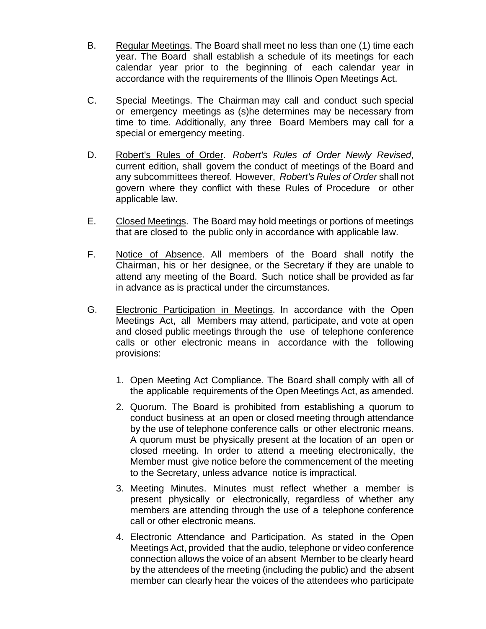- B. Regular Meetings. The Board shall meet no less than one (1) time each year. The Board shall establish a schedule of its meetings for each calendar year prior to the beginning of each calendar year in accordance with the requirements of the Illinois Open Meetings Act.
- C. Special Meetings. The Chairman may call and conduct such special or emergency meetings as (s)he determines may be necessary from time to time. Additionally, any three Board Members may call for a special or emergency meeting.
- D. Robert's Rules of Order. *Robert's Rules of Order Newly Revised*, current edition, shall govern the conduct of meetings of the Board and any subcommittees thereof. However, *Robert's Rules of Order* shall not govern where they conflict with these Rules of Procedure or other applicable law.
- E. Closed Meetings. The Board may hold meetings or portions of meetings that are closed to the public only in accordance with applicable law.
- F. Notice of Absence. All members of the Board shall notify the Chairman, his or her designee, or the Secretary if they are unable to attend any meeting of the Board. Such notice shall be provided as far in advance as is practical under the circumstances.
- G. Electronic Participation in Meetings. In accordance with the Open Meetings Act, all Members may attend, participate, and vote at open and closed public meetings through the use of telephone conference calls or other electronic means in accordance with the following provisions:
	- 1. Open Meeting Act Compliance. The Board shall comply with all of the applicable requirements of the Open Meetings Act, as amended.
	- 2. Quorum. The Board is prohibited from establishing a quorum to conduct business at an open or closed meeting through attendance by the use of telephone conference calls or other electronic means. A quorum must be physically present at the location of an open or closed meeting. In order to attend a meeting electronically, the Member must give notice before the commencement of the meeting to the Secretary, unless advance notice is impractical.
	- 3. Meeting Minutes. Minutes must reflect whether a member is present physically or electronically, regardless of whether any members are attending through the use of a telephone conference call or other electronic means.
	- 4. Electronic Attendance and Participation. As stated in the Open Meetings Act, provided that the audio, telephone or video conference connection allows the voice of an absent Member to be clearly heard by the attendees of the meeting (including the public) and the absent member can clearly hear the voices of the attendees who participate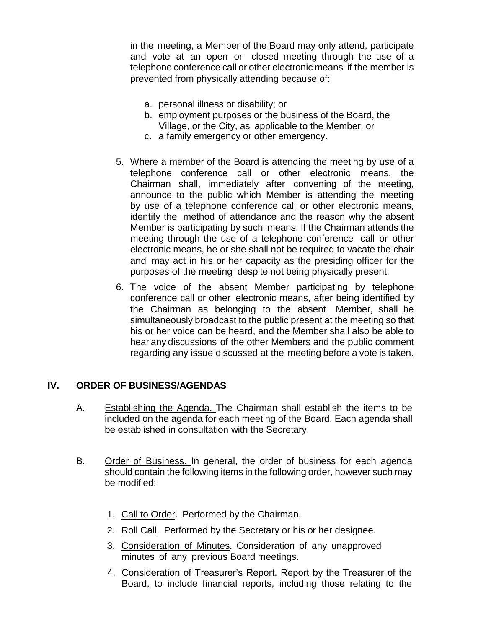in the meeting, a Member of the Board may only attend, participate and vote at an open or closed meeting through the use of a telephone conference call or other electronic means if the member is prevented from physically attending because of:

- a. personal illness or disability; or
- b. employment purposes or the business of the Board, the Village, or the City, as applicable to the Member; or
- c. a family emergency or other emergency.
- 5. Where a member of the Board is attending the meeting by use of a telephone conference call or other electronic means, the Chairman shall, immediately after convening of the meeting, announce to the public which Member is attending the meeting by use of a telephone conference call or other electronic means, identify the method of attendance and the reason why the absent Member is participating by such means. If the Chairman attends the meeting through the use of a telephone conference call or other electronic means, he or she shall not be required to vacate the chair and may act in his or her capacity as the presiding officer for the purposes of the meeting despite not being physically present.
- 6. The voice of the absent Member participating by telephone conference call or other electronic means, after being identified by the Chairman as belonging to the absent Member, shall be simultaneously broadcast to the public present at the meeting so that his or her voice can be heard, and the Member shall also be able to hear any discussions of the other Members and the public comment regarding any issue discussed at the meeting before a vote is taken.

# **IV. ORDER OF BUSINESS/AGENDAS**

- A. Establishing the Agenda. The Chairman shall establish the items to be included on the agenda for each meeting of the Board. Each agenda shall be established in consultation with the Secretary.
- B. Order of Business. In general, the order of business for each agenda should contain the following items in the following order, however such may be modified:
	- 1. Call to Order. Performed by the Chairman.
	- 2. Roll Call. Performed by the Secretary or his or her designee.
	- 3. Consideration of Minutes. Consideration of any unapproved minutes of any previous Board meetings.
	- 4. Consideration of Treasurer's Report. Report by the Treasurer of the Board, to include financial reports, including those relating to the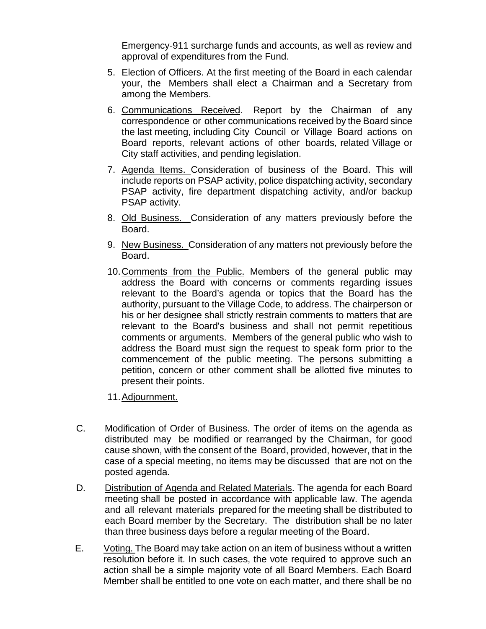Emergency-911 surcharge funds and accounts, as well as review and approval of expenditures from the Fund.

- 5. Election of Officers. At the first meeting of the Board in each calendar your, the Members shall elect a Chairman and a Secretary from among the Members.
- 6. Communications Received. Report by the Chairman of any correspondence or other communications received by the Board since the last meeting, including City Council or Village Board actions on Board reports, relevant actions of other boards, related Village or City staff activities, and pending legislation.
- 7. Agenda Items. Consideration of business of the Board. This will include reports on PSAP activity, police dispatching activity, secondary PSAP activity, fire department dispatching activity, and/or backup PSAP activity.
- 8. Old Business. Consideration of any matters previously before the Board.
- 9. New Business. Consideration of any matters not previously before the Board.
- 10.Comments from the Public. Members of the general public may address the Board with concerns or comments regarding issues relevant to the Board's agenda or topics that the Board has the authority, pursuant to the Village Code, to address. The chairperson or his or her designee shall strictly restrain comments to matters that are relevant to the Board's business and shall not permit repetitious comments or arguments. Members of the general public who wish to address the Board must sign the request to speak form prior to the commencement of the public meeting. The persons submitting a petition, concern or other comment shall be allotted five minutes to present their points.
- 11.Adjournment.
- C. Modification of Order of Business. The order of items on the agenda as distributed may be modified or rearranged by the Chairman, for good cause shown, with the consent of the Board, provided, however, that in the case of a special meeting, no items may be discussed that are not on the posted agenda.
- D. Distribution of Agenda and Related Materials. The agenda for each Board meeting shall be posted in accordance with applicable law. The agenda and all relevant materials prepared for the meeting shall be distributed to each Board member by the Secretary. The distribution shall be no later than three business days before a regular meeting of the Board.
- E. Voting. The Board may take action on an item of business without a written resolution before it. In such cases, the vote required to approve such an action shall be a simple majority vote of all Board Members. Each Board Member shall be entitled to one vote on each matter, and there shall be no